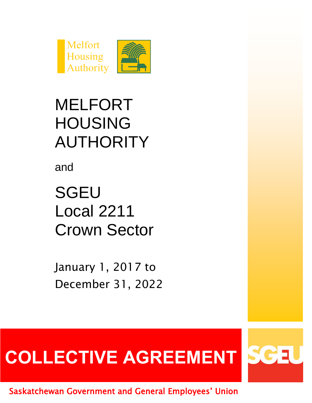



## MELFORT HOUSING AUTHORITY

and

**SGEU** Local 2211 Crown Sector

January 1, 2017 to December 31, 2022

# **COLLECTIVE AGREEMENT**



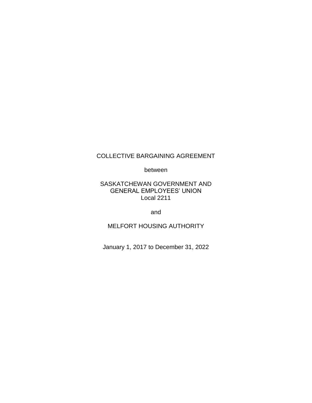#### COLLECTIVE BARGAINING AGREEMENT

between

#### SASKATCHEWAN GOVERNMENT AND GENERAL EMPLOYEES' UNION Local 2211

and

MELFORT HOUSING AUTHORITY

January 1, 2017 to December 31, 2022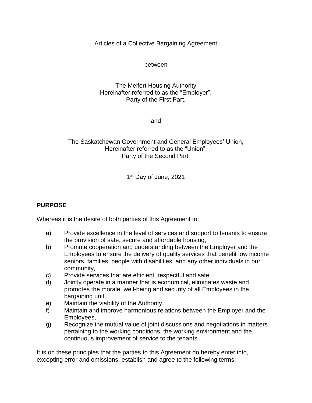Articles of a Collective Bargaining Agreement

#### between

#### The Melfort Housing Authority Hereinafter referred to as the "Employer", Party of the First Part,

and

#### The Saskatchewan Government and General Employees' Union, Hereinafter referred to as the "Union", Party of the Second Part.

1st Day of June, 2021

#### **PURPOSE**

Whereas it is the desire of both parties of this Agreement to:

- a) Provide excellence in the level of services and support to tenants to ensure the provision of safe, secure and affordable housing,
- b) Promote cooperation and understanding between the Employer and the Employees to ensure the delivery of quality services that benefit low income seniors, families, people with disabilities, and any other individuals in our community,
- c) Provide services that are efficient, respectful and safe,
- d) Jointly operate in a manner that is economical, eliminates waste and promotes the morale, well-being and security of all Employees in the bargaining unit,
- e) Maintain the viability of the Authority,
- f) Maintain and improve harmonious relations between the Employer and the Employees,
- g) Recognize the mutual value of joint discussions and negotiations in matters pertaining to the working conditions, the working environment and the continuous improvement of service to the tenants.

It is on these principles that the parties to this Agreement do hereby enter into, excepting error and omissions, establish and agree to the following terms: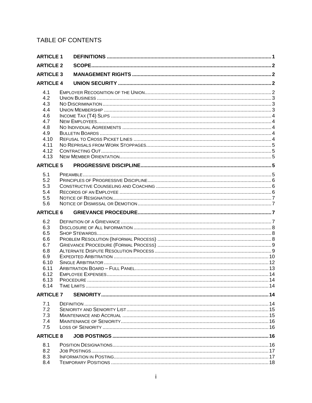## TABLE OF CONTENTS

|                  | <b>ARTICLE 1</b> |  |
|------------------|------------------|--|
| <b>ARTICLE 2</b> |                  |  |
| <b>ARTICLE 3</b> |                  |  |
| <b>ARTICLE 4</b> |                  |  |
| 4.1              |                  |  |
| 4.2              |                  |  |
| 4.3              |                  |  |
| 4.4              |                  |  |
| 4.6              |                  |  |
| 4.7              |                  |  |
| 4.8              |                  |  |
| 4.9              |                  |  |
| 4.10             |                  |  |
| 4.11             |                  |  |
| 4.12             |                  |  |
| 4.13             |                  |  |
| <b>ARTICLE 5</b> |                  |  |
| 5.1              |                  |  |
| 5.2              |                  |  |
| 5.3              |                  |  |
| 5.4              |                  |  |
| 5.5              |                  |  |
| 5.6              |                  |  |
| <b>ARTICLE 6</b> |                  |  |
|                  |                  |  |
|                  |                  |  |
| 6.2              |                  |  |
| 6.3              |                  |  |
| 6.5              |                  |  |
| 6.6              |                  |  |
| 6.7              |                  |  |
| 6.8              |                  |  |
| 6.9              |                  |  |
| 6.10             |                  |  |
| 6.11<br>6.12     |                  |  |
| 6.13             |                  |  |
| 6.14             |                  |  |
|                  |                  |  |
| <b>ARTICLE 7</b> |                  |  |
| 7.1              |                  |  |
| 7.2              |                  |  |
| 7.3              |                  |  |
| 7.4              |                  |  |
| 7.5              |                  |  |
| <b>ARTICLE 8</b> |                  |  |
| 8.1              |                  |  |
| 8.2              |                  |  |
| 8.3<br>8.4       |                  |  |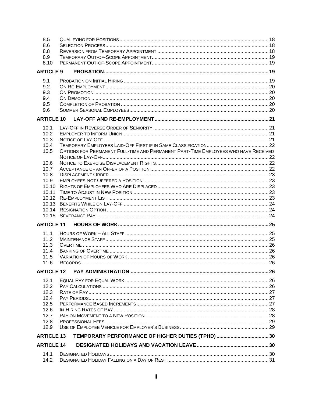| 8.5               |                                                                                     |  |
|-------------------|-------------------------------------------------------------------------------------|--|
| 8.6               |                                                                                     |  |
| 8.8               |                                                                                     |  |
| 8.9               |                                                                                     |  |
| 8.10              |                                                                                     |  |
| <b>ARTICLE 9</b>  |                                                                                     |  |
|                   |                                                                                     |  |
| 9.1               |                                                                                     |  |
| 9.2               |                                                                                     |  |
| 9.3               |                                                                                     |  |
| 9.4               |                                                                                     |  |
| 9.5               |                                                                                     |  |
| 9.6               |                                                                                     |  |
| <b>ARTICLE 10</b> |                                                                                     |  |
|                   |                                                                                     |  |
| 10.1              |                                                                                     |  |
| 10.2              |                                                                                     |  |
| 10.3              |                                                                                     |  |
| 10.4              |                                                                                     |  |
| 10.5              | OPTIONS FOR PERMANENT FULL-TIME AND PERMANENT PART-TIME EMPLOYEES WHO HAVE RECEIVED |  |
|                   |                                                                                     |  |
| 10.6              |                                                                                     |  |
| 10.7              |                                                                                     |  |
| 10.8              |                                                                                     |  |
| 10.9              |                                                                                     |  |
| 10.10             |                                                                                     |  |
| 10.11             |                                                                                     |  |
|                   |                                                                                     |  |
|                   |                                                                                     |  |
|                   |                                                                                     |  |
|                   |                                                                                     |  |
| <b>ARTICLE 11</b> |                                                                                     |  |
|                   |                                                                                     |  |
| 11.1              |                                                                                     |  |
| 11.2              |                                                                                     |  |
| 11.3              |                                                                                     |  |
| 11.4              |                                                                                     |  |
| 11.5              |                                                                                     |  |
| 11.6              |                                                                                     |  |
| <b>ARTICLE 12</b> |                                                                                     |  |
|                   |                                                                                     |  |
| 12.1              |                                                                                     |  |
| 12.2              |                                                                                     |  |
| 12.3              |                                                                                     |  |
| 12.4              |                                                                                     |  |
| 12.5              |                                                                                     |  |
| 12.6              |                                                                                     |  |
| 12.7              |                                                                                     |  |
| 12.8              |                                                                                     |  |
| 12.9              |                                                                                     |  |
| <b>ARTICLE 13</b> |                                                                                     |  |
| <b>ARTICLE 14</b> |                                                                                     |  |
|                   |                                                                                     |  |
| 14.1              |                                                                                     |  |
| 14.2              |                                                                                     |  |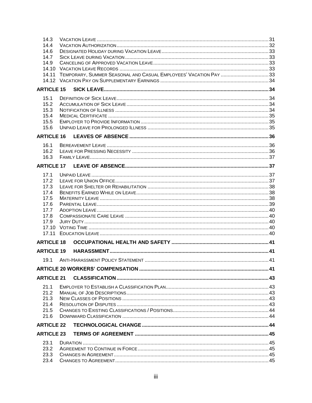| 14.3<br>14.4<br>14.6<br>14.7<br>14.9<br>14.10<br>14.11 |  |
|--------------------------------------------------------|--|
| <b>ARTICLE 15</b>                                      |  |
| 15.1<br>15.2<br>15.3<br>15.4<br>15.5<br>15.6           |  |
| <b>ARTICLE 16</b>                                      |  |
| 16.1                                                   |  |
| 16.2<br>16.3                                           |  |
| <b>ARTICLE 17</b>                                      |  |
|                                                        |  |
| 17.1<br>17.2                                           |  |
| 17.3                                                   |  |
| 17.4                                                   |  |
| 17.5                                                   |  |
| 17.6                                                   |  |
| 17.7<br>17.8                                           |  |
| 17.9                                                   |  |
|                                                        |  |
|                                                        |  |
| <b>ARTICLE 18</b>                                      |  |
| <b>ARTICLE 19</b>                                      |  |
| 19.1                                                   |  |
|                                                        |  |
| <b>ARTICLE 21</b>                                      |  |
| 21.1                                                   |  |
| 21.2                                                   |  |
| 21.3                                                   |  |
| 21.4                                                   |  |
| 21.5<br>21.6                                           |  |
| <b>ARTICLE 22</b>                                      |  |
| <b>ARTICLE 23</b>                                      |  |
|                                                        |  |
| 23.1                                                   |  |
| 23.2<br>23.3                                           |  |
| 23.4                                                   |  |
|                                                        |  |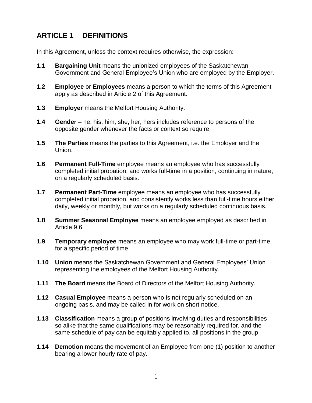## <span id="page-10-0"></span>**ARTICLE 1 DEFINITIONS**

In this Agreement, unless the context requires otherwise, the expression:

- **1.1 Bargaining Unit** means the unionized employees of the Saskatchewan Government and General Employee's Union who are employed by the Employer.
- **1.2 Employee** or **Employees** means a person to which the terms of this Agreement apply as described in Article 2 of this Agreement.
- **1.3 Employer** means the Melfort Housing Authority.
- **1.4 Gender –** he, his, him, she, her, hers includes reference to persons of the opposite gender whenever the facts or context so require.
- **1.5 The Parties** means the parties to this Agreement, i.e. the Employer and the Union.
- **1.6 Permanent Full-Time** employee means an employee who has successfully completed initial probation, and works full-time in a position, continuing in nature, on a regularly scheduled basis.
- **1.7 Permanent Part-Time** employee means an employee who has successfully completed initial probation, and consistently works less than full-time hours either daily, weekly or monthly, but works on a regularly scheduled continuous basis.
- **1.8 Summer Seasonal Employee** means an employee employed as described in Article 9.6.
- **1.9 Temporary employee** means an employee who may work full-time or part-time, for a specific period of time.
- **1.10 Union** means the Saskatchewan Government and General Employees' Union representing the employees of the Melfort Housing Authority.
- **1.11 The Board** means the Board of Directors of the Melfort Housing Authority.
- **1.12 Casual Employee** means a person who is not regularly scheduled on an ongoing basis, and may be called in for work on short notice.
- **1.13 Classification** means a group of positions involving duties and responsibilities so alike that the same qualifications may be reasonably required for, and the same schedule of pay can be equitably applied to, all positions in the group.
- **1.14 Demotion** means the movement of an Employee from one (1) position to another bearing a lower hourly rate of pay.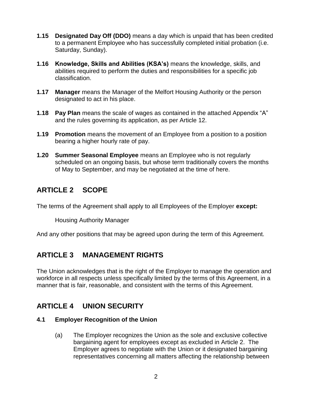- **1.15 Designated Day Off (DDO)** means a day which is unpaid that has been credited to a permanent Employee who has successfully completed initial probation (i.e. Saturday, Sunday).
- **1.16 Knowledge, Skills and Abilities (KSA's)** means the knowledge, skills, and abilities required to perform the duties and responsibilities for a specific job classification.
- **1.17 Manager** means the Manager of the Melfort Housing Authority or the person designated to act in his place.
- **1.18 Pay Plan** means the scale of wages as contained in the attached Appendix "A" and the rules governing its application, as per Article 12.
- **1.19 Promotion** means the movement of an Employee from a position to a position bearing a higher hourly rate of pay.
- **1.20 Summer Seasonal Employee** means an Employee who is not regularly scheduled on an ongoing basis, but whose term traditionally covers the months of May to September, and may be negotiated at the time of here.

## <span id="page-11-0"></span>**ARTICLE 2 SCOPE**

The terms of the Agreement shall apply to all Employees of the Employer **except:**

Housing Authority Manager

And any other positions that may be agreed upon during the term of this Agreement.

## <span id="page-11-1"></span>**ARTICLE 3 MANAGEMENT RIGHTS**

The Union acknowledges that is the right of the Employer to manage the operation and workforce in all respects unless specifically limited by the terms of this Agreement, in a manner that is fair, reasonable, and consistent with the terms of this Agreement.

## <span id="page-11-2"></span>**ARTICLE 4 UNION SECURITY**

#### <span id="page-11-3"></span>**4.1 Employer Recognition of the Union**

(a) The Employer recognizes the Union as the sole and exclusive collective bargaining agent for employees except as excluded in Article 2. The Employer agrees to negotiate with the Union or it designated bargaining representatives concerning all matters affecting the relationship between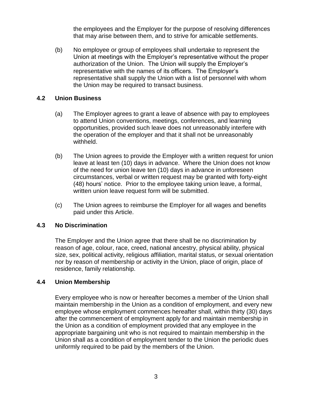the employees and the Employer for the purpose of resolving differences that may arise between them, and to strive for amicable settlements.

(b) No employee or group of employees shall undertake to represent the Union at meetings with the Employer's representative without the proper authorization of the Union. The Union will supply the Employer's representative with the names of its officers. The Employer's representative shall supply the Union with a list of personnel with whom the Union may be required to transact business.

#### <span id="page-12-0"></span>**4.2 Union Business**

- (a) The Employer agrees to grant a leave of absence with pay to employees to attend Union conventions, meetings, conferences, and learning opportunities, provided such leave does not unreasonably interfere with the operation of the employer and that it shall not be unreasonably withheld.
- (b) The Union agrees to provide the Employer with a written request for union leave at least ten (10) days in advance. Where the Union does not know of the need for union leave ten (10) days in advance in unforeseen circumstances, verbal or written request may be granted with forty-eight (48) hours' notice. Prior to the employee taking union leave, a formal, written union leave request form will be submitted.
- (c) The Union agrees to reimburse the Employer for all wages and benefits paid under this Article.

#### <span id="page-12-1"></span>**4.3 No Discrimination**

The Employer and the Union agree that there shall be no discrimination by reason of age, colour, race, creed, national ancestry, physical ability, physical size, sex, political activity, religious affiliation, marital status, or sexual orientation nor by reason of membership or activity in the Union, place of origin, place of residence, family relationship.

#### <span id="page-12-2"></span>**4.4 Union Membership**

Every employee who is now or hereafter becomes a member of the Union shall maintain membership in the Union as a condition of employment, and every new employee whose employment commences hereafter shall, within thirty (30) days after the commencement of employment apply for and maintain membership in the Union as a condition of employment provided that any employee in the appropriate bargaining unit who is not required to maintain membership in the Union shall as a condition of employment tender to the Union the periodic dues uniformly required to be paid by the members of the Union.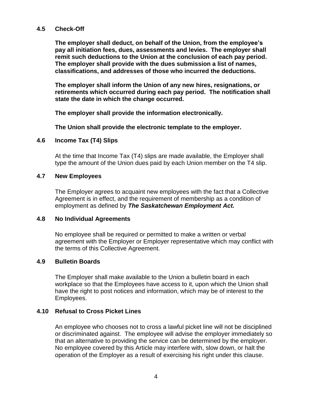#### **4.5 Check-Off**

**The employer shall deduct, on behalf of the Union, from the employee's pay all initiation fees, dues, assessments and levies. The employer shall remit such deductions to the Union at the conclusion of each pay period. The employer shall provide with the dues submission a list of names, classifications, and addresses of those who incurred the deductions.**

**The employer shall inform the Union of any new hires, resignations, or retirements which occurred during each pay period. The notification shall state the date in which the change occurred.** 

**The employer shall provide the information electronically.**

**The Union shall provide the electronic template to the employer.**

#### <span id="page-13-0"></span>**4.6 Income Tax (T4) Slips**

At the time that Income Tax (T4) slips are made available, the Employer shall type the amount of the Union dues paid by each Union member on the T4 slip.

#### <span id="page-13-1"></span>**4.7 New Employees**

The Employer agrees to acquaint new employees with the fact that a Collective Agreement is in effect, and the requirement of membership as a condition of employment as defined by *The Saskatchewan Employment Act.*

#### <span id="page-13-2"></span>**4.8 No Individual Agreements**

No employee shall be required or permitted to make a written or verbal agreement with the Employer or Employer representative which may conflict with the terms of this Collective Agreement.

#### <span id="page-13-3"></span>**4.9 Bulletin Boards**

The Employer shall make available to the Union a bulletin board in each workplace so that the Employees have access to it, upon which the Union shall have the right to post notices and information, which may be of interest to the Employees.

#### <span id="page-13-4"></span>**4.10 Refusal to Cross Picket Lines**

An employee who chooses not to cross a lawful picket line will not be disciplined or discriminated against. The employee will advise the employer immediately so that an alternative to providing the service can be determined by the employer. No employee covered by this Article may interfere with, slow down, or halt the operation of the Employer as a result of exercising his right under this clause.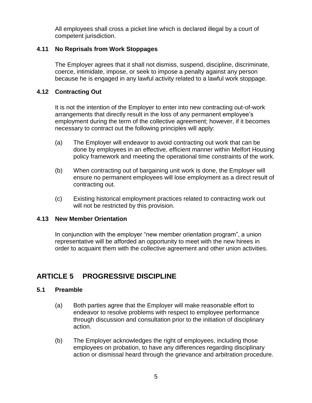All employees shall cross a picket line which is declared illegal by a court of competent jurisdiction.

#### <span id="page-14-0"></span>**4.11 No Reprisals from Work Stoppages**

The Employer agrees that it shall not dismiss, suspend, discipline, discriminate, coerce, intimidate, impose, or seek to impose a penalty against any person because he is engaged in any lawful activity related to a lawful work stoppage.

#### <span id="page-14-1"></span>**4.12 Contracting Out**

It is not the intention of the Employer to enter into new contracting out-of-work arrangements that directly result in the loss of any permanent employee's employment during the term of the collective agreement; however, if it becomes necessary to contract out the following principles will apply:

- (a) The Employer will endeavor to avoid contracting out work that can be done by employees in an effective, efficient manner within Melfort Housing policy framework and meeting the operational time constraints of the work.
- (b) When contracting out of bargaining unit work is done, the Employer will ensure no permanent employees will lose employment as a direct result of contracting out.
- (c) Existing historical employment practices related to contracting work out will not be restricted by this provision.

#### <span id="page-14-2"></span>**4.13 New Member Orientation**

In conjunction with the employer "new member orientation program", a union representative will be afforded an opportunity to meet with the new hirees in order to acquaint them with the collective agreement and other union activities.

## <span id="page-14-3"></span>**ARTICLE 5 PROGRESSIVE DISCIPLINE**

#### <span id="page-14-4"></span>**5.1 Preamble**

- (a) Both parties agree that the Employer will make reasonable effort to endeavor to resolve problems with respect to employee performance through discussion and consultation prior to the initiation of disciplinary action.
- (b) The Employer acknowledges the right of employees, including those employees on probation, to have any differences regarding disciplinary action or dismissal heard through the grievance and arbitration procedure.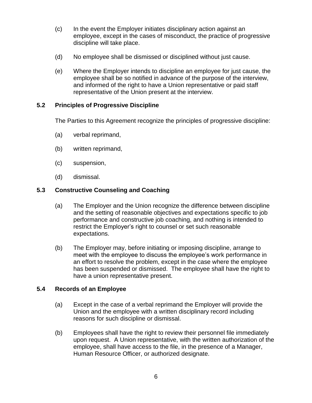- (c) In the event the Employer initiates disciplinary action against an employee, except in the cases of misconduct, the practice of progressive discipline will take place.
- (d) No employee shall be dismissed or disciplined without just cause.
- (e) Where the Employer intends to discipline an employee for just cause, the employee shall be so notified in advance of the purpose of the interview, and informed of the right to have a Union representative or paid staff representative of the Union present at the interview.

#### <span id="page-15-0"></span>**5.2 Principles of Progressive Discipline**

The Parties to this Agreement recognize the principles of progressive discipline:

- (a) verbal reprimand,
- (b) written reprimand,
- (c) suspension,
- (d) dismissal.

#### <span id="page-15-1"></span>**5.3 Constructive Counseling and Coaching**

- (a) The Employer and the Union recognize the difference between discipline and the setting of reasonable objectives and expectations specific to job performance and constructive job coaching, and nothing is intended to restrict the Employer's right to counsel or set such reasonable expectations.
- (b) The Employer may, before initiating or imposing discipline, arrange to meet with the employee to discuss the employee's work performance in an effort to resolve the problem, except in the case where the employee has been suspended or dismissed. The employee shall have the right to have a union representative present.

#### <span id="page-15-2"></span>**5.4 Records of an Employee**

- (a) Except in the case of a verbal reprimand the Employer will provide the Union and the employee with a written disciplinary record including reasons for such discipline or dismissal.
- (b) Employees shall have the right to review their personnel file immediately upon request. A Union representative, with the written authorization of the employee, shall have access to the file, in the presence of a Manager, Human Resource Officer, or authorized designate.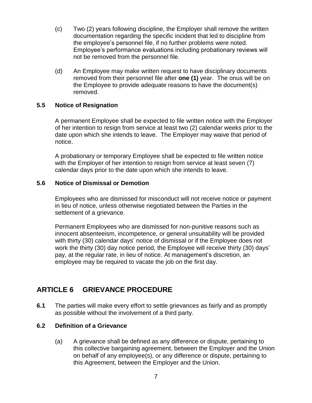- (c) Two (2) years following discipline, the Employer shall remove the written documentation regarding the specific incident that led to discipline from the employee's personnel file, if no further problems were noted. Employee's performance evaluations including probationary reviews will not be removed from the personnel file.
- (d) An Employee may make written request to have disciplinary documents removed from their personnel file after **one (1)** year. The onus will be on the Employee to provide adequate reasons to have the document(s) removed.

#### <span id="page-16-0"></span>**5.5 Notice of Resignation**

A permanent Employee shall be expected to file written notice with the Employer of her intention to resign from service at least two (2) calendar weeks prior to the date upon which she intends to leave. The Employer may waive that period of notice.

A probationary or temporary Employee shall be expected to file written notice with the Employer of her intention to resign from service at least seven (7) calendar days prior to the date upon which she intends to leave.

#### <span id="page-16-1"></span>**5.6 Notice of Dismissal or Demotion**

Employees who are dismissed for misconduct will not receive notice or payment in lieu of notice, unless otherwise negotiated between the Parties in the settlement of a grievance.

Permanent Employees who are dismissed for non-punitive reasons such as innocent absenteeism, incompetence, or general unsuitability will be provided with thirty (30) calendar days' notice of dismissal or if the Employee does not work the thirty (30) day notice period, the Employee will receive thirty (30) days' pay, at the regular rate, in lieu of notice. At management's discretion, an employee may be required to vacate the job on the first day.

## <span id="page-16-2"></span>**ARTICLE 6 GRIEVANCE PROCEDURE**

**6.1** The parties will make every effort to settle grievances as fairly and as promptly as possible without the involvement of a third party.

#### <span id="page-16-3"></span>**6.2 Definition of a Grievance**

(a) A grievance shall be defined as any difference or dispute, pertaining to this collective bargaining agreement, between the Employer and the Union on behalf of any employee(s), or any difference or dispute, pertaining to this Agreement, between the Employer and the Union.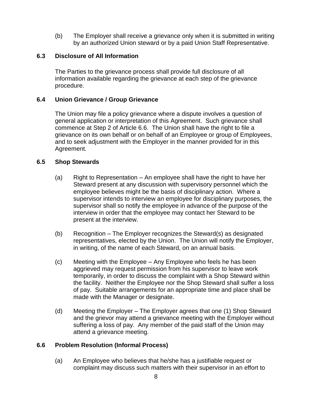(b) The Employer shall receive a grievance only when it is submitted in writing by an authorized Union steward or by a paid Union Staff Representative.

#### <span id="page-17-0"></span>**6.3 Disclosure of All Information**

The Parties to the grievance process shall provide full disclosure of all information available regarding the grievance at each step of the grievance procedure.

#### **6.4 Union Grievance / Group Grievance**

The Union may file a policy grievance where a dispute involves a question of general application or interpretation of this Agreement. Such grievance shall commence at Step 2 of Article 6.6. The Union shall have the right to file a grievance on its own behalf or on behalf of an Employee or group of Employees, and to seek adjustment with the Employer in the manner provided for in this Agreement.

#### <span id="page-17-1"></span>**6.5 Shop Stewards**

- (a) Right to Representation An employee shall have the right to have her Steward present at any discussion with supervisory personnel which the employee believes might be the basis of disciplinary action. Where a supervisor intends to interview an employee for disciplinary purposes, the supervisor shall so notify the employee in advance of the purpose of the interview in order that the employee may contact her Steward to be present at the interview.
- (b) Recognition The Employer recognizes the Steward(s) as designated representatives, elected by the Union. The Union will notify the Employer, in writing, of the name of each Steward, on an annual basis.
- (c) Meeting with the Employee Any Employee who feels he has been aggrieved may request permission from his supervisor to leave work temporarily, in order to discuss the complaint with a Shop Steward within the facility. Neither the Employee nor the Shop Steward shall suffer a loss of pay. Suitable arrangements for an appropriate time and place shall be made with the Manager or designate.
- (d) Meeting the Employer The Employer agrees that one (1) Shop Steward and the grievor may attend a grievance meeting with the Employer without suffering a loss of pay. Any member of the paid staff of the Union may attend a grievance meeting.

#### <span id="page-17-2"></span>**6.6 Problem Resolution (Informal Process)**

(a) An Employee who believes that he/she has a justifiable request or complaint may discuss such matters with their supervisor in an effort to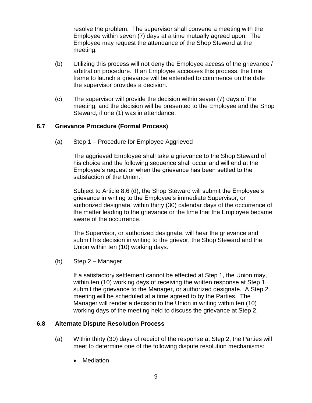resolve the problem. The supervisor shall convene a meeting with the Employee within seven (7) days at a time mutually agreed upon. The Employee may request the attendance of the Shop Steward at the meeting.

- (b) Utilizing this process will not deny the Employee access of the grievance / arbitration procedure. If an Employee accesses this process, the time frame to launch a grievance will be extended to commence on the date the supervisor provides a decision.
- (c) The supervisor will provide the decision within seven (7) days of the meeting, and the decision will be presented to the Employee and the Shop Steward, if one (1) was in attendance.

#### <span id="page-18-0"></span>**6.7 Grievance Procedure (Formal Process)**

(a) Step 1 – Procedure for Employee Aggrieved

The aggrieved Employee shall take a grievance to the Shop Steward of his choice and the following sequence shall occur and will end at the Employee's request or when the grievance has been settled to the satisfaction of the Union.

Subject to Article 8.6 (d), the Shop Steward will submit the Employee's grievance in writing to the Employee's immediate Supervisor, or authorized designate, within thirty (30) calendar days of the occurrence of the matter leading to the grievance or the time that the Employee became aware of the occurrence.

The Supervisor, or authorized designate, will hear the grievance and submit his decision in writing to the grievor, the Shop Steward and the Union within ten (10) working days.

(b) Step 2 – Manager

If a satisfactory settlement cannot be effected at Step 1, the Union may, within ten (10) working days of receiving the written response at Step 1, submit the grievance to the Manager, or authorized designate. A Step 2 meeting will be scheduled at a time agreed to by the Parties. The Manager will render a decision to the Union in writing within ten (10) working days of the meeting held to discuss the grievance at Step 2.

#### <span id="page-18-1"></span>**6.8 Alternate Dispute Resolution Process**

- (a) Within thirty (30) days of receipt of the response at Step 2, the Parties will meet to determine one of the following dispute resolution mechanisms:
	- Mediation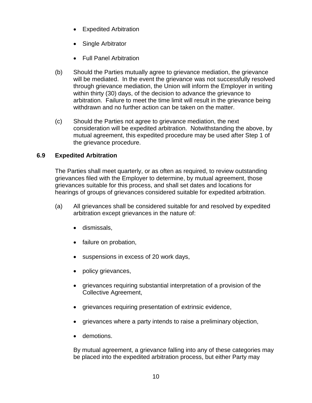- Expedited Arbitration
- Single Arbitrator
- Full Panel Arbitration
- (b) Should the Parties mutually agree to grievance mediation, the grievance will be mediated. In the event the grievance was not successfully resolved through grievance mediation, the Union will inform the Employer in writing within thirty (30) days, of the decision to advance the grievance to arbitration. Failure to meet the time limit will result in the grievance being withdrawn and no further action can be taken on the matter.
- (c) Should the Parties not agree to grievance mediation, the next consideration will be expedited arbitration. Notwithstanding the above, by mutual agreement, this expedited procedure may be used after Step 1 of the grievance procedure.

#### <span id="page-19-0"></span>**6.9 Expedited Arbitration**

The Parties shall meet quarterly, or as often as required, to review outstanding grievances filed with the Employer to determine, by mutual agreement, those grievances suitable for this process, and shall set dates and locations for hearings of groups of grievances considered suitable for expedited arbitration.

- (a) All grievances shall be considered suitable for and resolved by expedited arbitration except grievances in the nature of:
	- dismissals,
	- failure on probation,
	- suspensions in excess of 20 work days,
	- policy grievances,
	- grievances requiring substantial interpretation of a provision of the Collective Agreement,
	- grievances requiring presentation of extrinsic evidence,
	- grievances where a party intends to raise a preliminary objection,
	- demotions.

By mutual agreement, a grievance falling into any of these categories may be placed into the expedited arbitration process, but either Party may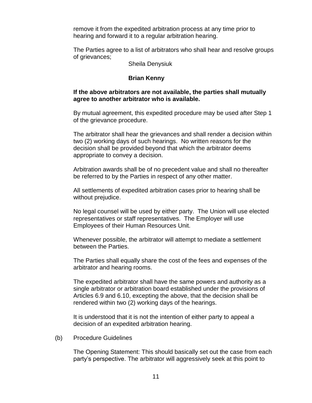remove it from the expedited arbitration process at any time prior to hearing and forward it to a regular arbitration hearing.

The Parties agree to a list of arbitrators who shall hear and resolve groups of grievances;

Sheila Denysiuk

#### **Brian Kenny**

#### **If the above arbitrators are not available, the parties shall mutually agree to another arbitrator who is available.**

By mutual agreement, this expedited procedure may be used after Step 1 of the grievance procedure.

The arbitrator shall hear the grievances and shall render a decision within two (2) working days of such hearings. No written reasons for the decision shall be provided beyond that which the arbitrator deems appropriate to convey a decision.

Arbitration awards shall be of no precedent value and shall no thereafter be referred to by the Parties in respect of any other matter.

All settlements of expedited arbitration cases prior to hearing shall be without prejudice.

No legal counsel will be used by either party. The Union will use elected representatives or staff representatives. The Employer will use Employees of their Human Resources Unit.

Whenever possible, the arbitrator will attempt to mediate a settlement between the Parties.

The Parties shall equally share the cost of the fees and expenses of the arbitrator and hearing rooms.

The expedited arbitrator shall have the same powers and authority as a single arbitrator or arbitration board established under the provisions of Articles 6.9 and 6.10, excepting the above, that the decision shall be rendered within two (2) working days of the hearings.

It is understood that it is not the intention of either party to appeal a decision of an expedited arbitration hearing.

(b) Procedure Guidelines

The Opening Statement: This should basically set out the case from each party's perspective. The arbitrator will aggressively seek at this point to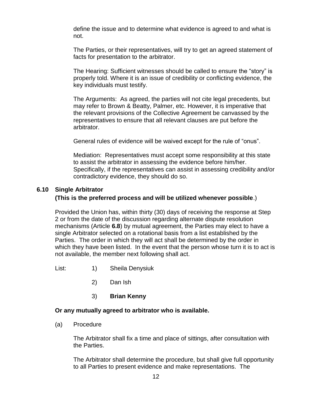define the issue and to determine what evidence is agreed to and what is not.

The Parties, or their representatives, will try to get an agreed statement of facts for presentation to the arbitrator.

The Hearing: Sufficient witnesses should be called to ensure the "story" is properly told. Where it is an issue of credibility or conflicting evidence, the key individuals must testify.

The Arguments: As agreed, the parties will not cite legal precedents, but may refer to Brown & Beatty, Palmer, etc. However, it is imperative that the relevant provisions of the Collective Agreement be canvassed by the representatives to ensure that all relevant clauses are put before the arbitrator.

General rules of evidence will be waived except for the rule of "onus".

Mediation: Representatives must accept some responsibility at this state to assist the arbitrator in assessing the evidence before him/her. Specifically, if the representatives can assist in assessing credibility and/or contradictory evidence, they should do so.

#### <span id="page-21-0"></span>**6.10 Single Arbitrator**

#### **(This is the preferred process and will be utilized whenever possible**.)

Provided the Union has, within thirty (30) days of receiving the response at Step 2 or from the date of the discussion regarding alternate dispute resolution mechanisms (Article **6.8**) by mutual agreement, the Parties may elect to have a single Arbitrator selected on a rotational basis from a list established by the Parties. The order in which they will act shall be determined by the order in which they have been listed. In the event that the person whose turn it is to act is not available, the member next following shall act.

- List: 1) Sheila Denysiuk
	- 2) Dan Ish
	- 3) **Brian Kenny**

#### **Or any mutually agreed to arbitrator who is available.**

(a) Procedure

The Arbitrator shall fix a time and place of sittings, after consultation with the Parties.

The Arbitrator shall determine the procedure, but shall give full opportunity to all Parties to present evidence and make representations. The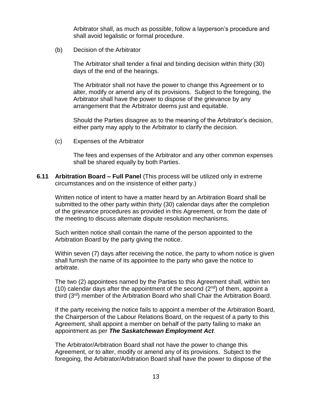Arbitrator shall, as much as possible, follow a layperson's procedure and shall avoid legalistic or formal procedure.

(b) Decision of the Arbitrator

The Arbitrator shall tender a final and binding decision within thirty (30) days of the end of the hearings.

The Arbitrator shall not have the power to change this Agreement or to alter, modify or amend any of its provisions. Subject to the foregoing, the Arbitrator shall have the power to dispose of the grievance by any arrangement that the Arbitrator deems just and equitable.

Should the Parties disagree as to the meaning of the Arbitrator's decision, either party may apply to the Arbitrator to clarify the decision.

(c) Expenses of the Arbitrator

The fees and expenses of the Arbitrator and any other common expenses shall be shared equally by both Parties.

<span id="page-22-0"></span>**6.11 Arbitration Board – Full Panel** (This process will be utilized only in extreme circumstances and on the insistence of either party.)

Written notice of intent to have a matter heard by an Arbitration Board shall be submitted to the other party within thirty (30) calendar days after the completion of the grievance procedures as provided in this Agreement, or from the date of the meeting to discuss alternate dispute resolution mechanisms.

Such written notice shall contain the name of the person appointed to the Arbitration Board by the party giving the notice.

Within seven (7) days after receiving the notice, the party to whom notice is given shall furnish the name of its appointee to the party who gave the notice to arbitrate.

The two (2) appointees named by the Parties to this Agreement shall, within ten (10) calendar days after the appointment of the second  $(2^{nd})$  of them, appoint a third (3rd) member of the Arbitration Board who shall Chair the Arbitration Board.

If the party receiving the notice fails to appoint a member of the Arbitration Board, the Chairperson of the Labour Relations Board, on the request of a party to this Agreement, shall appoint a member on behalf of the party failing to make an appointment as per *The Saskatchewan Employment Act*.

The Arbitrator/Arbitration Board shall not have the power to change this Agreement, or to alter, modify or amend any of its provisions. Subject to the foregoing, the Arbitrator/Arbitration Board shall have the power to dispose of the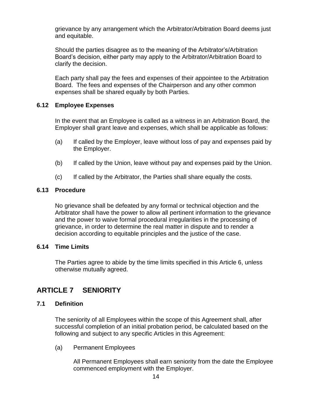grievance by any arrangement which the Arbitrator/Arbitration Board deems just and equitable.

Should the parties disagree as to the meaning of the Arbitrator's/Arbitration Board's decision, either party may apply to the Arbitrator/Arbitration Board to clarify the decision.

Each party shall pay the fees and expenses of their appointee to the Arbitration Board. The fees and expenses of the Chairperson and any other common expenses shall be shared equally by both Parties.

#### <span id="page-23-0"></span>**6.12 Employee Expenses**

In the event that an Employee is called as a witness in an Arbitration Board, the Employer shall grant leave and expenses, which shall be applicable as follows:

- (a) If called by the Employer, leave without loss of pay and expenses paid by the Employer.
- (b) If called by the Union, leave without pay and expenses paid by the Union.
- (c) If called by the Arbitrator, the Parties shall share equally the costs.

#### <span id="page-23-1"></span>**6.13 Procedure**

No grievance shall be defeated by any formal or technical objection and the Arbitrator shall have the power to allow all pertinent information to the grievance and the power to waive formal procedural irregularities in the processing of grievance, in order to determine the real matter in dispute and to render a decision according to equitable principles and the justice of the case.

#### <span id="page-23-2"></span>**6.14 Time Limits**

The Parties agree to abide by the time limits specified in this Article 6, unless otherwise mutually agreed.

## <span id="page-23-3"></span>**ARTICLE 7 SENIORITY**

#### <span id="page-23-4"></span>**7.1 Definition**

The seniority of all Employees within the scope of this Agreement shall, after successful completion of an initial probation period, be calculated based on the following and subject to any specific Articles in this Agreement:

(a) Permanent Employees

All Permanent Employees shall earn seniority from the date the Employee commenced employment with the Employer.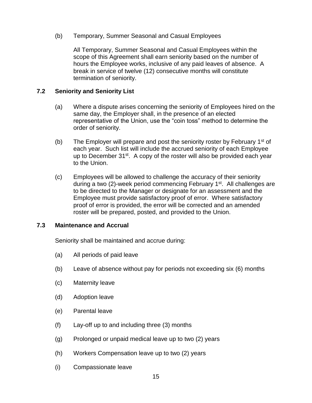(b) Temporary, Summer Seasonal and Casual Employees

All Temporary, Summer Seasonal and Casual Employees within the scope of this Agreement shall earn seniority based on the number of hours the Employee works, inclusive of any paid leaves of absence. A break in service of twelve (12) consecutive months will constitute termination of seniority.

#### <span id="page-24-0"></span>**7.2 Seniority and Seniority List**

- (a) Where a dispute arises concerning the seniority of Employees hired on the same day, the Employer shall, in the presence of an elected representative of the Union, use the "coin toss" method to determine the order of seniority.
- (b) The Employer will prepare and post the seniority roster by February 1<sup>st</sup> of each year. Such list will include the accrued seniority of each Employee up to December 31<sup>st</sup>. A copy of the roster will also be provided each year to the Union.
- (c) Employees will be allowed to challenge the accuracy of their seniority during a two (2)-week period commencing February 1<sup>st</sup>. All challenges are to be directed to the Manager or designate for an assessment and the Employee must provide satisfactory proof of error. Where satisfactory proof of error is provided, the error will be corrected and an amended roster will be prepared, posted, and provided to the Union.

#### <span id="page-24-1"></span>**7.3 Maintenance and Accrual**

Seniority shall be maintained and accrue during:

- (a) All periods of paid leave
- (b) Leave of absence without pay for periods not exceeding six (6) months
- (c) Maternity leave
- (d) Adoption leave
- (e) Parental leave
- (f) Lay-off up to and including three (3) months
- (g) Prolonged or unpaid medical leave up to two (2) years
- (h) Workers Compensation leave up to two (2) years
- (i) Compassionate leave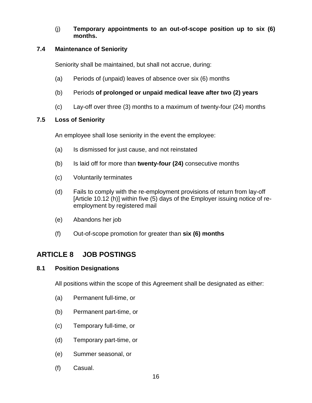(j) **Temporary appointments to an out-of-scope position up to six (6) months.**

#### <span id="page-25-0"></span>**7.4 Maintenance of Seniority**

Seniority shall be maintained, but shall not accrue, during:

- (a) Periods of (unpaid) leaves of absence over six (6) months
- (b) Periods **of prolonged or unpaid medical leave after two (2) years**
- (c) Lay-off over three (3) months to a maximum of twenty-four (24) months

#### <span id="page-25-1"></span>**7.5 Loss of Seniority**

An employee shall lose seniority in the event the employee:

- (a) Is dismissed for just cause, and not reinstated
- (b) Is laid off for more than **twenty-four (24)** consecutive months
- (c) Voluntarily terminates
- (d) Fails to comply with the re-employment provisions of return from lay-off [Article 10.12 (h)] within five (5) days of the Employer issuing notice of reemployment by registered mail
- (e) Abandons her job
- (f) Out-of-scope promotion for greater than **six (6) months**

## <span id="page-25-2"></span>**ARTICLE 8 JOB POSTINGS**

#### <span id="page-25-3"></span>**8.1 Position Designations**

All positions within the scope of this Agreement shall be designated as either:

- (a) Permanent full-time, or
- (b) Permanent part-time, or
- (c) Temporary full-time, or
- (d) Temporary part-time, or
- (e) Summer seasonal, or
- (f) Casual.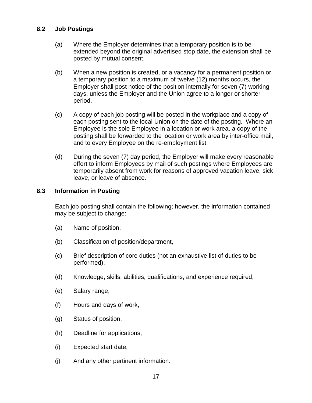#### <span id="page-26-0"></span>**8.2 Job Postings**

- (a) Where the Employer determines that a temporary position is to be extended beyond the original advertised stop date, the extension shall be posted by mutual consent.
- (b) When a new position is created, or a vacancy for a permanent position or a temporary position to a maximum of twelve (12) months occurs, the Employer shall post notice of the position internally for seven (7) working days, unless the Employer and the Union agree to a longer or shorter period.
- (c) A copy of each job posting will be posted in the workplace and a copy of each posting sent to the local Union on the date of the posting. Where an Employee is the sole Employee in a location or work area, a copy of the posting shall be forwarded to the location or work area by inter-office mail, and to every Employee on the re-employment list.
- (d) During the seven (7) day period, the Employer will make every reasonable effort to inform Employees by mail of such postings where Employees are temporarily absent from work for reasons of approved vacation leave, sick leave, or leave of absence.

#### <span id="page-26-1"></span>**8.3 Information in Posting**

Each job posting shall contain the following; however, the information contained may be subject to change:

- (a) Name of position,
- (b) Classification of position/department,
- (c) Brief description of core duties (not an exhaustive list of duties to be performed),
- (d) Knowledge, skills, abilities, qualifications, and experience required,
- (e) Salary range,
- (f) Hours and days of work,
- (g) Status of position,
- (h) Deadline for applications,
- (i) Expected start date,
- (j) And any other pertinent information.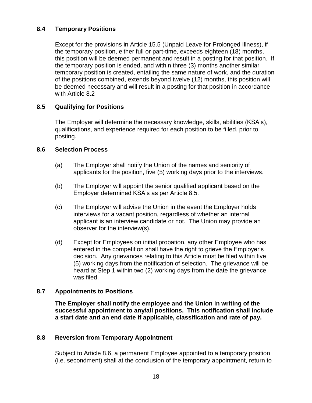#### <span id="page-27-0"></span>**8.4 Temporary Positions**

Except for the provisions in Article 15.5 (Unpaid Leave for Prolonged Illness), if the temporary position, either full or part-time, exceeds eighteen (18) months, this position will be deemed permanent and result in a posting for that position. If the temporary position is ended, and within three (3) months another similar temporary position is created, entailing the same nature of work, and the duration of the positions combined, extends beyond twelve (12) months, this position will be deemed necessary and will result in a posting for that position in accordance with Article 8.2

#### <span id="page-27-1"></span>**8.5 Qualifying for Positions**

The Employer will determine the necessary knowledge, skills, abilities (KSA's), qualifications, and experience required for each position to be filled, prior to posting.

#### <span id="page-27-2"></span>**8.6 Selection Process**

- (a) The Employer shall notify the Union of the names and seniority of applicants for the position, five (5) working days prior to the interviews.
- (b) The Employer will appoint the senior qualified applicant based on the Employer determined KSA's as per Article 8.5.
- (c) The Employer will advise the Union in the event the Employer holds interviews for a vacant position, regardless of whether an internal applicant is an interview candidate or not. The Union may provide an observer for the interview(s).
- (d) Except for Employees on initial probation, any other Employee who has entered in the competition shall have the right to grieve the Employer's decision. Any grievances relating to this Article must be filed within five (5) working days from the notification of selection. The grievance will be heard at Step 1 within two (2) working days from the date the grievance was filed.

#### **8.7 Appointments to Positions**

**The Employer shall notify the employee and the Union in writing of the successful appointment to any/all positions. This notification shall include a start date and an end date if applicable, classification and rate of pay.**

#### <span id="page-27-3"></span>**8.8 Reversion from Temporary Appointment**

Subject to Article 8.6, a permanent Employee appointed to a temporary position (i.e. secondment) shall at the conclusion of the temporary appointment, return to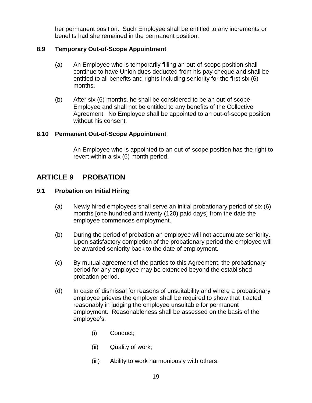her permanent position. Such Employee shall be entitled to any increments or benefits had she remained in the permanent position.

#### <span id="page-28-0"></span>**8.9 Temporary Out-of-Scope Appointment**

- (a) An Employee who is temporarily filling an out-of-scope position shall continue to have Union dues deducted from his pay cheque and shall be entitled to all benefits and rights including seniority for the first six (6) months.
- (b) After six (6) months, he shall be considered to be an out-of scope Employee and shall not be entitled to any benefits of the Collective Agreement. No Employee shall be appointed to an out-of-scope position without his consent.

#### <span id="page-28-1"></span>**8.10 Permanent Out-of-Scope Appointment**

An Employee who is appointed to an out-of-scope position has the right to revert within a six (6) month period.

## <span id="page-28-2"></span>**ARTICLE 9 PROBATION**

#### <span id="page-28-3"></span>**9.1 Probation on Initial Hiring**

- (a) Newly hired employees shall serve an initial probationary period of six (6) months [one hundred and twenty (120) paid days] from the date the employee commences employment.
- (b) During the period of probation an employee will not accumulate seniority. Upon satisfactory completion of the probationary period the employee will be awarded seniority back to the date of employment.
- (c) By mutual agreement of the parties to this Agreement, the probationary period for any employee may be extended beyond the established probation period.
- (d) In case of dismissal for reasons of unsuitability and where a probationary employee grieves the employer shall be required to show that it acted reasonably in judging the employee unsuitable for permanent employment. Reasonableness shall be assessed on the basis of the employee's:
	- (i) Conduct;
	- (ii) Quality of work;
	- (iii) Ability to work harmoniously with others.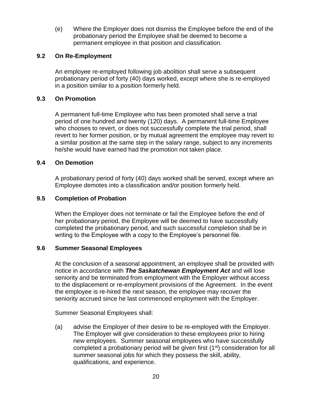(e) Where the Employer does not dismiss the Employee before the end of the probationary period the Employee shall be deemed to become a permanent employee in that position and classification.

#### <span id="page-29-0"></span>**9.2 On Re-Employment**

An employee re-employed following job abolition shall serve a subsequent probationary period of forty (40) days worked, except where she is re-employed in a position similar to a position formerly held.

#### <span id="page-29-1"></span>**9.3 On Promotion**

A permanent full-time Employee who has been promoted shall serve a trial period of one hundred and twenty (120) days. A permanent full-time Employee who chooses to revert, or does not successfully complete the trial period, shall revert to her former position, or by mutual agreement the employee may revert to a similar position at the same step in the salary range, subject to any increments he/she would have earned had the promotion not taken place.

#### <span id="page-29-2"></span>**9.4 On Demotion**

A probationary period of forty (40) days worked shall be served, except where an Employee demotes into a classification and/or position formerly held.

#### <span id="page-29-3"></span>**9.5 Completion of Probation**

When the Employer does not terminate or fail the Employee before the end of her probationary period, the Employee will be deemed to have successfully completed the probationary period, and such successful completion shall be in writing to the Employee with a copy to the Employee's personnel file.

#### <span id="page-29-4"></span>**9.6 Summer Seasonal Employees**

At the conclusion of a seasonal appointment, an employee shall be provided with notice in accordance with *The Saskatchewan Employment Act* and will lose seniority and be terminated from employment with the Employer without access to the displacement or re-employment provisions of the Agreement. In the event the employee is re-hired the next season, the employee may recover the seniority accrued since he last commenced employment with the Employer.

Summer Seasonal Employees shall:

(a) advise the Employer of their desire to be re-employed with the Employer. The Employer will give consideration to these employees prior to hiring new employees. Summer seasonal employees who have successfully completed a probationary period will be given first  $(1<sup>st</sup>)$  consideration for all summer seasonal jobs for which they possess the skill, ability, qualifications, and experience.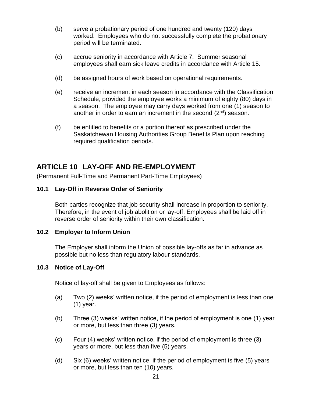- (b) serve a probationary period of one hundred and twenty (120) days worked. Employees who do not successfully complete the probationary period will be terminated.
- (c) accrue seniority in accordance with Article 7. Summer seasonal employees shall earn sick leave credits in accordance with Article 15.
- (d) be assigned hours of work based on operational requirements.
- (e) receive an increment in each season in accordance with the Classification Schedule, provided the employee works a minimum of eighty (80) days in a season. The employee may carry days worked from one (1) season to another in order to earn an increment in the second  $(2^{nd})$  season.
- (f) be entitled to benefits or a portion thereof as prescribed under the Saskatchewan Housing Authorities Group Benefits Plan upon reaching required qualification periods.

## <span id="page-30-0"></span>**ARTICLE 10 LAY-OFF AND RE-EMPLOYMENT**

(Permanent Full-Time and Permanent Part-Time Employees)

#### <span id="page-30-1"></span>**10.1 Lay-Off in Reverse Order of Seniority**

Both parties recognize that job security shall increase in proportion to seniority. Therefore, in the event of job abolition or lay-off, Employees shall be laid off in reverse order of seniority within their own classification.

#### <span id="page-30-2"></span>**10.2 Employer to Inform Union**

The Employer shall inform the Union of possible lay-offs as far in advance as possible but no less than regulatory labour standards.

#### <span id="page-30-3"></span>**10.3 Notice of Lay-Off**

Notice of lay-off shall be given to Employees as follows:

- (a) Two (2) weeks' written notice, if the period of employment is less than one (1) year.
- (b) Three (3) weeks' written notice, if the period of employment is one (1) year or more, but less than three (3) years.
- (c) Four (4) weeks' written notice, if the period of employment is three (3) years or more, but less than five (5) years.
- (d) Six (6) weeks' written notice, if the period of employment is five (5) years or more, but less than ten (10) years.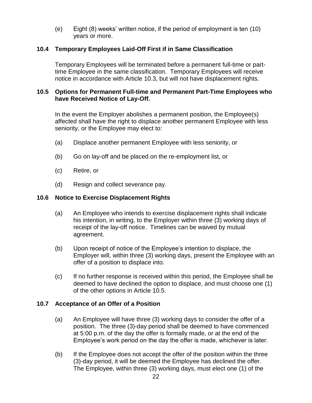(e) Eight (8) weeks' written notice, if the period of employment is ten (10) years or more.

#### <span id="page-31-0"></span>**10.4 Temporary Employees Laid-Off First if in Same Classification**

Temporary Employees will be terminated before a permanent full-time or parttime Employee in the same classification. Temporary Employees will receive notice in accordance with Article 10.3, but will not have displacement rights.

#### <span id="page-31-1"></span>**10.5 Options for Permanent Full-time and Permanent Part-Time Employees who have Received Notice of Lay-Off.**

In the event the Employer abolishes a permanent position, the Employee(s) affected shall have the right to displace another permanent Employee with less seniority, or the Employee may elect to:

- (a) Displace another permanent Employee with less seniority, or
- (b) Go on lay-off and be placed on the re-employment list, or
- (c) Retire, or
- (d) Resign and collect severance pay.

#### <span id="page-31-2"></span>**10.6 Notice to Exercise Displacement Rights**

- (a) An Employee who intends to exercise displacement rights shall indicate his intention, in writing, to the Employer within three (3) working days of receipt of the lay-off notice. Timelines can be waived by mutual agreement.
- (b) Upon receipt of notice of the Employee's intention to displace, the Employer will, within three (3) working days, present the Employee with an offer of a position to displace into.
- (c) If no further response is received within this period, the Employee shall be deemed to have declined the option to displace, and must choose one (1) of the other options in Article 10.5.

#### <span id="page-31-3"></span>**10.7 Acceptance of an Offer of a Position**

- (a) An Employee will have three (3) working days to consider the offer of a position. The three (3)-day period shall be deemed to have commenced at 5:00 p.m. of the day the offer is formally made, or at the end of the Employee's work period on the day the offer is made, whichever is later.
- (b) If the Employee does not accept the offer of the position within the three (3)-day period, it will be deemed the Employee has declined the offer. The Employee, within three (3) working days, must elect one (1) of the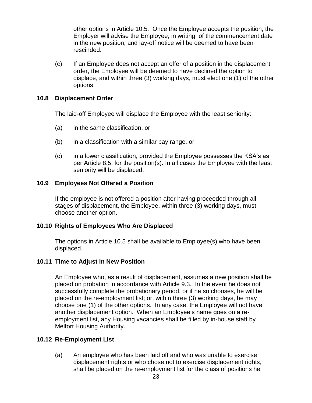other options in Article 10.5. Once the Employee accepts the position, the Employer will advise the Employee, in writing, of the commencement date in the new position, and lay-off notice will be deemed to have been rescinded.

(c) If an Employee does not accept an offer of a position in the displacement order, the Employee will be deemed to have declined the option to displace, and within three (3) working days, must elect one (1) of the other options.

#### <span id="page-32-0"></span>**10.8 Displacement Order**

The laid-off Employee will displace the Employee with the least seniority:

- (a) in the same classification, or
- (b) in a classification with a similar pay range, or
- (c) in a lower classification, provided the Employee possesses the KSA's as per Article 8.5, for the position(s). In all cases the Employee with the least seniority will be displaced.

#### <span id="page-32-1"></span>**10.9 Employees Not Offered a Position**

If the employee is not offered a position after having proceeded through all stages of displacement, the Employee, within three (3) working days, must choose another option.

#### <span id="page-32-2"></span>**10.10 Rights of Employees Who Are Displaced**

The options in Article 10.5 shall be available to Employee(s) who have been displaced.

#### <span id="page-32-3"></span>**10.11 Time to Adjust in New Position**

An Employee who, as a result of displacement, assumes a new position shall be placed on probation in accordance with Article 9.3. In the event he does not successfully complete the probationary period, or if he so chooses, he will be placed on the re-employment list; or, within three (3) working days, he may choose one (1) of the other options. In any case, the Employee will not have another displacement option. When an Employee's name goes on a reemployment list, any Housing vacancies shall be filled by in-house staff by Melfort Housing Authority.

#### <span id="page-32-4"></span>**10.12 Re-Employment List**

(a) An employee who has been laid off and who was unable to exercise displacement rights or who chose not to exercise displacement rights, shall be placed on the re-employment list for the class of positions he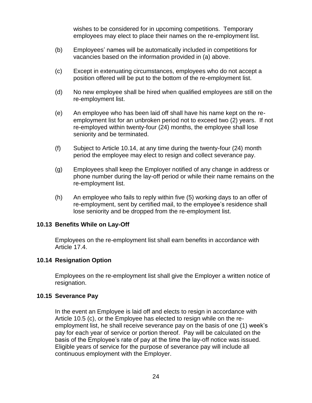wishes to be considered for in upcoming competitions. Temporary employees may elect to place their names on the re-employment list.

- (b) Employees' names will be automatically included in competitions for vacancies based on the information provided in (a) above.
- (c) Except in extenuating circumstances, employees who do not accept a position offered will be put to the bottom of the re-employment list.
- (d) No new employee shall be hired when qualified employees are still on the re-employment list.
- (e) An employee who has been laid off shall have his name kept on the reemployment list for an unbroken period not to exceed two (2) years. If not re-employed within twenty-four (24) months, the employee shall lose seniority and be terminated.
- (f) Subject to Article 10.14, at any time during the twenty-four (24) month period the employee may elect to resign and collect severance pay.
- (g) Employees shall keep the Employer notified of any change in address or phone number during the lay-off period or while their name remains on the re-employment list.
- (h) An employee who fails to reply within five (5) working days to an offer of re-employment, sent by certified mail, to the employee's residence shall lose seniority and be dropped from the re-employment list.

#### <span id="page-33-0"></span>**10.13 Benefits While on Lay-Off**

Employees on the re-employment list shall earn benefits in accordance with Article 17.4.

#### <span id="page-33-1"></span>**10.14 Resignation Option**

Employees on the re-employment list shall give the Employer a written notice of resignation.

#### <span id="page-33-2"></span>**10.15 Severance Pay**

In the event an Employee is laid off and elects to resign in accordance with Article 10.5 (c), or the Employee has elected to resign while on the reemployment list, he shall receive severance pay on the basis of one (1) week's pay for each year of service or portion thereof. Pay will be calculated on the basis of the Employee's rate of pay at the time the lay-off notice was issued. Eligible years of service for the purpose of severance pay will include all continuous employment with the Employer.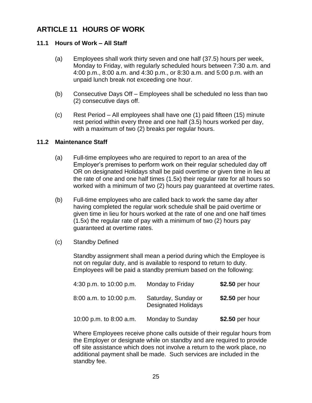## <span id="page-34-0"></span>**ARTICLE 11 HOURS OF WORK**

#### <span id="page-34-1"></span>**11.1 Hours of Work – All Staff**

- (a) Employees shall work thirty seven and one half (37.5) hours per week, Monday to Friday, with regularly scheduled hours between 7:30 a.m. and 4:00 p.m., 8:00 a.m. and 4:30 p.m., or 8:30 a.m. and 5:00 p.m. with an unpaid lunch break not exceeding one hour.
- (b) Consecutive Days Off Employees shall be scheduled no less than two (2) consecutive days off.
- (c) Rest Period All employees shall have one (1) paid fifteen (15) minute rest period within every three and one half (3.5) hours worked per day, with a maximum of two (2) breaks per regular hours.

#### <span id="page-34-2"></span>**11.2 Maintenance Staff**

- (a) Full-time employees who are required to report to an area of the Employer's premises to perform work on their regular scheduled day off OR on designated Holidays shall be paid overtime or given time in lieu at the rate of one and one half times (1.5x) their regular rate for all hours so worked with a minimum of two (2) hours pay guaranteed at overtime rates.
- (b) Full-time employees who are called back to work the same day after having completed the regular work schedule shall be paid overtime or given time in lieu for hours worked at the rate of one and one half times (1.5x) the regular rate of pay with a minimum of two (2) hours pay guaranteed at overtime rates.
- (c) Standby Defined

Standby assignment shall mean a period during which the Employee is not on regular duty, and is available to respond to return to duty. Employees will be paid a standby premium based on the following:

| 4:30 p.m. to 10:00 p.m. | Monday to Friday                                  | \$2.50 per hour |
|-------------------------|---------------------------------------------------|-----------------|
| 8:00 a.m. to 10:00 p.m. | Saturday, Sunday or<br><b>Designated Holidays</b> | \$2.50 per hour |
| 10:00 p.m. to 8:00 a.m. | Monday to Sunday                                  | \$2.50 per hour |

Where Employees receive phone calls outside of their regular hours from the Employer or designate while on standby and are required to provide off site assistance which does not involve a return to the work place, no additional payment shall be made. Such services are included in the standby fee.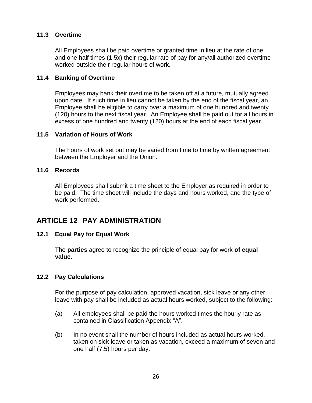#### <span id="page-35-0"></span>**11.3 Overtime**

All Employees shall be paid overtime or granted time in lieu at the rate of one and one half times (1.5x) their regular rate of pay for any/all authorized overtime worked outside their regular hours of work.

#### <span id="page-35-1"></span>**11.4 Banking of Overtime**

Employees may bank their overtime to be taken off at a future, mutually agreed upon date. If such time in lieu cannot be taken by the end of the fiscal year, an Employee shall be eligible to carry over a maximum of one hundred and twenty (120) hours to the next fiscal year. An Employee shall be paid out for all hours in excess of one hundred and twenty (120) hours at the end of each fiscal year.

#### <span id="page-35-2"></span>**11.5 Variation of Hours of Work**

The hours of work set out may be varied from time to time by written agreement between the Employer and the Union.

#### <span id="page-35-3"></span>**11.6 Records**

All Employees shall submit a time sheet to the Employer as required in order to be paid. The time sheet will include the days and hours worked, and the type of work performed.

## <span id="page-35-4"></span>**ARTICLE 12 PAY ADMINISTRATION**

#### <span id="page-35-5"></span>**12.1 Equal Pay for Equal Work**

The **parties** agree to recognize the principle of equal pay for work **of equal value.**

#### <span id="page-35-6"></span>**12.2 Pay Calculations**

For the purpose of pay calculation, approved vacation, sick leave or any other leave with pay shall be included as actual hours worked, subject to the following:

- (a) All employees shall be paid the hours worked times the hourly rate as contained in Classification Appendix "A".
- (b) In no event shall the number of hours included as actual hours worked, taken on sick leave or taken as vacation, exceed a maximum of seven and one half (7.5) hours per day.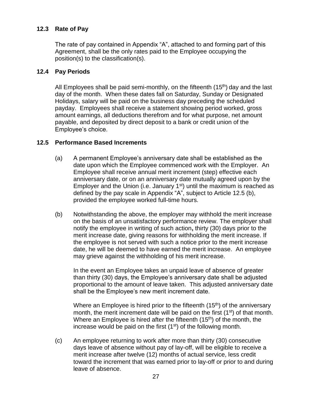#### <span id="page-36-0"></span>**12.3 Rate of Pay**

The rate of pay contained in Appendix "A", attached to and forming part of this Agreement, shall be the only rates paid to the Employee occupying the position(s) to the classification(s).

#### <span id="page-36-1"></span>**12.4 Pay Periods**

All Employees shall be paid semi-monthly, on the fifteenth  $(15<sup>th</sup>)$  day and the last day of the month. When these dates fall on Saturday, Sunday or Designated Holidays, salary will be paid on the business day preceding the scheduled payday. Employees shall receive a statement showing period worked, gross amount earnings, all deductions therefrom and for what purpose, net amount payable, and deposited by direct deposit to a bank or credit union of the Employee's choice.

#### <span id="page-36-2"></span>**12.5 Performance Based Increments**

- (a) A permanent Employee's anniversary date shall be established as the date upon which the Employee commenced work with the Employer. An Employee shall receive annual merit increment (step) effective each anniversary date, or on an anniversary date mutually agreed upon by the Employer and the Union (i.e. January  $1<sup>st</sup>$ ) until the maximum is reached as defined by the pay scale in Appendix "A", subject to Article 12.5 (b), provided the employee worked full-time hours.
- (b) Notwithstanding the above, the employer may withhold the merit increase on the basis of an unsatisfactory performance review. The employer shall notify the employee in writing of such action**,** thirty (30) days prior to the merit increase date, giving reasons for withholding the merit increase. If the employee is not served with such a notice prior to the merit increase date, he will be deemed to have earned the merit increase. An employee may grieve against the withholding of his merit increase.

In the event an Employee takes an unpaid leave of absence of greater than thirty (30) days, the Employee's anniversary date shall be adjusted proportional to the amount of leave taken. This adjusted anniversary date shall be the Employee's new merit increment date.

Where an Employee is hired prior to the fifteenth  $(15<sup>th</sup>)$  of the anniversary month, the merit increment date will be paid on the first  $(1<sup>st</sup>)$  of that month. Where an Employee is hired after the fifteenth  $(15<sup>th</sup>)$  of the month, the increase would be paid on the first  $(1<sup>st</sup>)$  of the following month.

(c) An employee returning to work after more than thirty (30) consecutive days leave of absence without pay of lay-off, will be eligible to receive a merit increase after twelve (12) months of actual service, less credit toward the increment that was earned prior to lay-off or prior to and during leave of absence.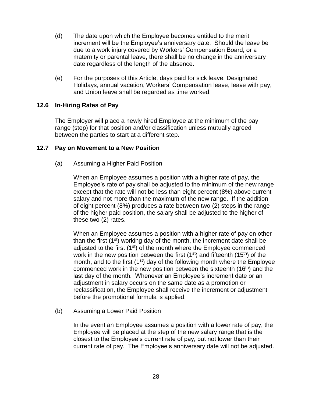- (d) The date upon which the Employee becomes entitled to the merit increment will be the Employee's anniversary date. Should the leave be due to a work injury covered by Workers' Compensation Board, or a maternity or parental leave, there shall be no change in the anniversary date regardless of the length of the absence.
- (e) For the purposes of this Article, days paid for sick leave, Designated Holidays, annual vacation, Workers' Compensation leave, leave with pay, and Union leave shall be regarded as time worked.

#### <span id="page-37-0"></span>**12.6 In-Hiring Rates of Pay**

The Employer will place a newly hired Employee at the minimum of the pay range (step) for that position and/or classification unless mutually agreed between the parties to start at a different step.

#### <span id="page-37-1"></span>**12.7 Pay on Movement to a New Position**

(a) Assuming a Higher Paid Position

When an Employee assumes a position with a higher rate of pay, the Employee's rate of pay shall be adjusted to the minimum of the new range except that the rate will not be less than eight percent (8%) above current salary and not more than the maximum of the new range. If the addition of eight percent (8%) produces a rate between two (2) steps in the range of the higher paid position, the salary shall be adjusted to the higher of these two (2) rates.

When an Employee assumes a position with a higher rate of pay on other than the first  $(1<sup>st</sup>)$  working day of the month, the increment date shall be adjusted to the first  $(1<sup>st</sup>)$  of the month where the Employee commenced work in the new position between the first (1<sup>st</sup>) and fifteenth (15<sup>th</sup>) of the month, and to the first  $(1<sup>st</sup>)$  day of the following month where the Employee commenced work in the new position between the sixteenth (16<sup>th</sup>) and the last day of the month. Whenever an Employee's increment date or an adjustment in salary occurs on the same date as a promotion or reclassification, the Employee shall receive the increment or adjustment before the promotional formula is applied.

(b) Assuming a Lower Paid Position

In the event an Employee assumes a position with a lower rate of pay, the Employee will be placed at the step of the new salary range that is the closest to the Employee's current rate of pay, but not lower than their current rate of pay. The Employee's anniversary date will not be adjusted.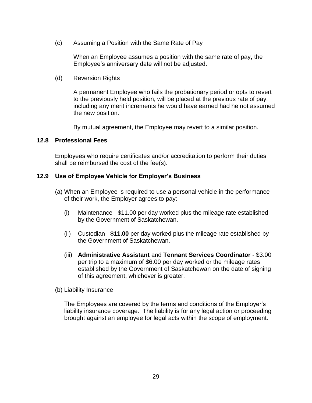(c) Assuming a Position with the Same Rate of Pay

When an Employee assumes a position with the same rate of pay, the Employee's anniversary date will not be adjusted.

(d) Reversion Rights

A permanent Employee who fails the probationary period or opts to revert to the previously held position, will be placed at the previous rate of pay, including any merit increments he would have earned had he not assumed the new position.

By mutual agreement, the Employee may revert to a similar position.

#### <span id="page-38-0"></span>**12.8 Professional Fees**

Employees who require certificates and/or accreditation to perform their duties shall be reimbursed the cost of the fee(s).

#### <span id="page-38-1"></span>**12.9 Use of Employee Vehicle for Employer's Business**

- (a) When an Employee is required to use a personal vehicle in the performance of their work, the Employer agrees to pay:
	- (i) Maintenance \$11.00 per day worked plus the mileage rate established by the Government of Saskatchewan.
	- (ii) Custodian **\$11.00** per day worked plus the mileage rate established by the Government of Saskatchewan.
	- (iii) **Administrative Assistant** and **Tennant Services Coordinator**  \$3.00 per trip to a maximum of \$6.00 per day worked or the mileage rates established by the Government of Saskatchewan on the date of signing of this agreement, whichever is greater.
- (b) Liability Insurance

The Employees are covered by the terms and conditions of the Employer's liability insurance coverage. The liability is for any legal action or proceeding brought against an employee for legal acts within the scope of employment.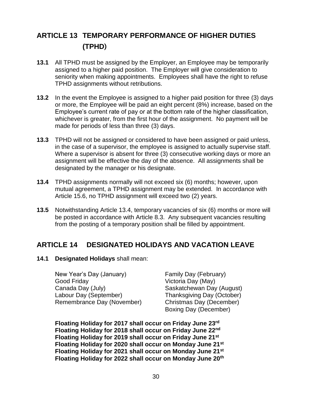## <span id="page-39-0"></span>**ARTICLE 13 TEMPORARY PERFORMANCE OF HIGHER DUTIES (TPHD**)

- **13.1** All TPHD must be assigned by the Employer, an Employee may be temporarily assigned to a higher paid position. The Employer will give consideration to seniority when making appointments. Employees shall have the right to refuse TPHD assignments without retributions.
- **13.2** In the event the Employee is assigned to a higher paid position for three (3) days or more, the Employee will be paid an eight percent (8%) increase, based on the Employee's current rate of pay or at the bottom rate of the higher classification, whichever is greater, from the first hour of the assignment. No payment will be made for periods of less than three (3) days.
- **13.3** TPHD will not be assigned or considered to have been assigned or paid unless, in the case of a supervisor, the employee is assigned to actually supervise staff. Where a supervisor is absent for three (3) consecutive working days or more an assignment will be effective the day of the absence. All assignments shall be designated by the manager or his designate.
- **13.4** TPHD assignments normally will not exceed six (6) months; however, upon mutual agreement, a TPHD assignment may be extended. In accordance with Article 15.6, no TPHD assignment will exceed two (2) years.
- **13.5** Notwithstanding Article 13.4, temporary vacancies of six (6) months or more will be posted in accordance with Article 8.3. Any subsequent vacancies resulting from the posting of a temporary position shall be filled by appointment.

## <span id="page-39-1"></span>**ARTICLE 14 DESIGNATED HOLIDAYS AND VACATION LEAVE**

<span id="page-39-2"></span>**14.1 Designated Holidays** shall mean:

New Year's Day (January) Family Day (February) Good Friday **Victoria Day (May)** Canada Day (July) Saskatchewan Day (August) Labour Day (September) Thanksgiving Day (October) Remembrance Day (November) Christmas Day (December)

Boxing Day (December)

**Floating Holiday for 2017 shall occur on Friday June 23rd Floating Holiday for 2018 shall occur on Friday June 22nd Floating Holiday for 2019 shall occur on Friday June 21st Floating Holiday for 2020 shall occur on Monday June 21st Floating Holiday for 2021 shall occur on Monday June 21st Floating Holiday for 2022 shall occur on Monday June 20th**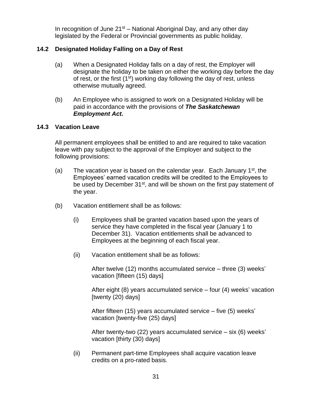In recognition of June  $21<sup>st</sup>$  – National Aboriginal Day, and any other day legislated by the Federal or Provincial governments as public holiday.

#### <span id="page-40-0"></span>**14.2 Designated Holiday Falling on a Day of Rest**

- (a) When a Designated Holiday falls on a day of rest, the Employer will designate the holiday to be taken on either the working day before the day of rest, or the first  $(1<sup>st</sup>)$  working day following the day of rest, unless otherwise mutually agreed.
- (b) An Employee who is assigned to work on a Designated Holiday will be paid in accordance with the provisions of *The Saskatchewan Employment Act.*

#### <span id="page-40-1"></span>**14.3 Vacation Leave**

All permanent employees shall be entitled to and are required to take vacation leave with pay subject to the approval of the Employer and subject to the following provisions:

- (a) The vacation year is based on the calendar year. Each January  $1<sup>st</sup>$ , the Employees' earned vacation credits will be credited to the Employees to be used by December 31<sup>st</sup>, and will be shown on the first pay statement of the year.
- (b) Vacation entitlement shall be as follows:
	- (i) Employees shall be granted vacation based upon the years of service they have completed in the fiscal year (January 1 to December 31). Vacation entitlements shall be advanced to Employees at the beginning of each fiscal year.
	- (ii) Vacation entitlement shall be as follows:

After twelve (12) months accumulated service – three (3) weeks' vacation [fifteen (15) days]

After eight (8) years accumulated service – four (4) weeks' vacation [twenty (20) days]

After fifteen (15) years accumulated service – five (5) weeks' vacation [twenty-five (25) days]

After twenty-two (22) years accumulated service – six (6) weeks' vacation [thirty (30) days]

(ii) Permanent part-time Employees shall acquire vacation leave credits on a pro-rated basis.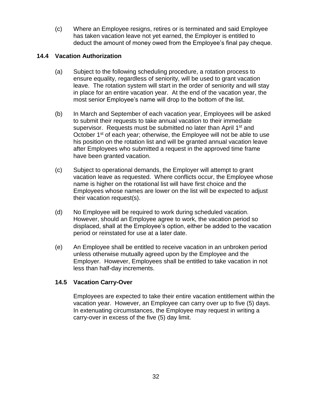(c) Where an Employee resigns, retires or is terminated and said Employee has taken vacation leave not yet earned, the Employer is entitled to deduct the amount of money owed from the Employee's final pay cheque.

#### <span id="page-41-0"></span>**14.4 Vacation Authorization**

- (a) Subject to the following scheduling procedure, a rotation process to ensure equality, regardless of seniority, will be used to grant vacation leave. The rotation system will start in the order of seniority and will stay in place for an entire vacation year. At the end of the vacation year, the most senior Employee's name will drop to the bottom of the list.
- (b) In March and September of each vacation year, Employees will be asked to submit their requests to take annual vacation to their immediate supervisor. Requests must be submitted no later than April 1<sup>st</sup> and October 1<sup>st</sup> of each year; otherwise, the Employee will not be able to use his position on the rotation list and will be granted annual vacation leave after Employees who submitted a request in the approved time frame have been granted vacation.
- (c) Subject to operational demands, the Employer will attempt to grant vacation leave as requested. Where conflicts occur, the Employee whose name is higher on the rotational list will have first choice and the Employees whose names are lower on the list will be expected to adjust their vacation request(s).
- (d) No Employee will be required to work during scheduled vacation. However, should an Employee agree to work, the vacation period so displaced, shall at the Employee's option, either be added to the vacation period or reinstated for use at a later date.
- (e) An Employee shall be entitled to receive vacation in an unbroken period unless otherwise mutually agreed upon by the Employee and the Employer. However, Employees shall be entitled to take vacation in not less than half-day increments.

#### **14.5 Vacation Carry-Over**

Employees are expected to take their entire vacation entitlement within the vacation year. However, an Employee can carry over up to five (5) days. In extenuating circumstances, the Employee may request in writing a carry-over in excess of the five (5) day limit.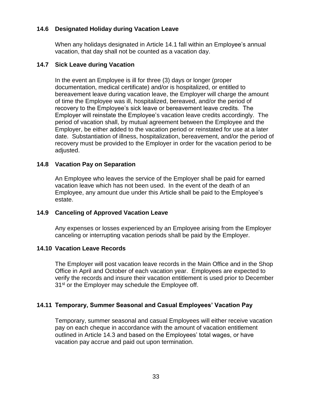#### <span id="page-42-0"></span>**14.6 Designated Holiday during Vacation Leave**

When any holidays designated in Article 14.1 fall within an Employee's annual vacation, that day shall not be counted as a vacation day.

#### <span id="page-42-1"></span>**14.7 Sick Leave during Vacation**

In the event an Employee is ill for three (3) days or longer (proper documentation, medical certificate) and/or is hospitalized, or entitled to bereavement leave during vacation leave, the Employer will charge the amount of time the Employee was ill, hospitalized, bereaved, and/or the period of recovery to the Employee's sick leave or bereavement leave credits. The Employer will reinstate the Employee's vacation leave credits accordingly. The period of vacation shall, by mutual agreement between the Employee and the Employer, be either added to the vacation period or reinstated for use at a later date. Substantiation of illness, hospitalization, bereavement, and/or the period of recovery must be provided to the Employer in order for the vacation period to be adjusted.

#### **14.8 Vacation Pay on Separation**

An Employee who leaves the service of the Employer shall be paid for earned vacation leave which has not been used. In the event of the death of an Employee, any amount due under this Article shall be paid to the Employee's estate.

#### <span id="page-42-2"></span>**14.9 Canceling of Approved Vacation Leave**

Any expenses or losses experienced by an Employee arising from the Employer canceling or interrupting vacation periods shall be paid by the Employer.

#### <span id="page-42-3"></span>**14.10 Vacation Leave Records**

The Employer will post vacation leave records in the Main Office and in the Shop Office in April and October of each vacation year. Employees are expected to verify the records and insure their vacation entitlement is used prior to December 31<sup>st</sup> or the Employer may schedule the Employee off.

#### <span id="page-42-4"></span>**14.11 Temporary, Summer Seasonal and Casual Employees' Vacation Pay**

Temporary, summer seasonal and casual Employees will either receive vacation pay on each cheque in accordance with the amount of vacation entitlement outlined in Article 14.3 and based on the Employees' total wages, or have vacation pay accrue and paid out upon termination.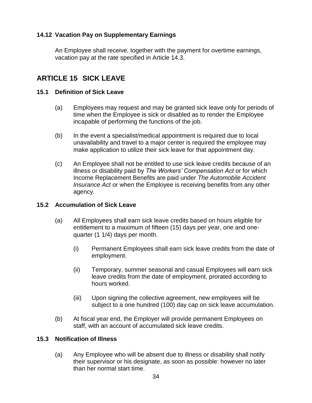#### <span id="page-43-0"></span>**14.12 Vacation Pay on Supplementary Earnings**

An Employee shall receive, together with the payment for overtime earnings, vacation pay at the rate specified in Article 14.3.

## <span id="page-43-1"></span>**ARTICLE 15 SICK LEAVE**

#### <span id="page-43-2"></span>**15.1 Definition of Sick Leave**

- (a) Employees may request and may be granted sick leave only for periods of time when the Employee is sick or disabled as to render the Employee incapable of performing the functions of the job.
- (b) In the event a specialist/medical appointment is required due to local unavailability and travel to a major center is required the employee may make application to utilize their sick leave for that appointment day.
- (c) An Employee shall not be entitled to use sick leave credits because of an illness or disability paid by *The Workers' Compensation Act* or for which Income Replacement Benefits are paid under *The Automobile Accident Insurance Act* or when the Employee is receiving benefits from any other agency.

#### <span id="page-43-3"></span>**15.2 Accumulation of Sick Leave**

- (a) All Employees shall earn sick leave credits based on hours eligible for entitlement to a maximum of fifteen (15) days per year, one and onequarter (1 1/4) days per month.
	- (i) Permanent Employees shall earn sick leave credits from the date of employment.
	- (ii) Temporary, summer seasonal and casual Employees will earn sick leave credits from the date of employment, prorated according to hours worked.
	- (iii) Upon signing the collective agreement, new employees will be subject to a one hundred (100) day cap on sick leave accumulation.
- (b) At fiscal year end, the Employer will provide permanent Employees on staff, with an account of accumulated sick leave credits.

#### <span id="page-43-4"></span>**15.3 Notification of Illness**

(a) Any Employee who will be absent due to illness or disability shall notify their supervisor or his designate, as soon as possible: however no later than her normal start time.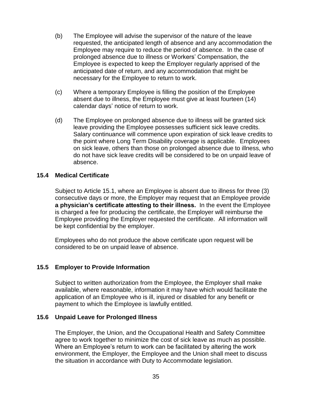- (b) The Employee will advise the supervisor of the nature of the leave requested, the anticipated length of absence and any accommodation the Employee may require to reduce the period of absence. In the case of prolonged absence due to illness or Workers' Compensation, the Employee is expected to keep the Employer regularly apprised of the anticipated date of return, and any accommodation that might be necessary for the Employee to return to work.
- (c) Where a temporary Employee is filling the position of the Employee absent due to illness, the Employee must give at least fourteen (14) calendar days' notice of return to work.
- (d) The Employee on prolonged absence due to illness will be granted sick leave providing the Employee possesses sufficient sick leave credits. Salary continuance will commence upon expiration of sick leave credits to the point where Long Term Disability coverage is applicable. Employees on sick leave, others than those on prolonged absence due to illness, who do not have sick leave credits will be considered to be on unpaid leave of absence.

#### <span id="page-44-0"></span>**15.4 Medical Certificate**

Subject to Article 15.1, where an Employee is absent due to illness for three (3) consecutive days or more, the Employer may request that an Employee provide **a physician's certificate attesting to their illness.** In the event the Employee is charged a fee for producing the certificate, the Employer will reimburse the Employee providing the Employer requested the certificate. All information will be kept confidential by the employer.

Employees who do not produce the above certificate upon request will be considered to be on unpaid leave of absence.

#### <span id="page-44-1"></span>**15.5 Employer to Provide Information**

Subject to written authorization from the Employee, the Employer shall make available, where reasonable, information it may have which would facilitate the application of an Employee who is ill, injured or disabled for any benefit or payment to which the Employee is lawfully entitled.

#### <span id="page-44-2"></span>**15.6 Unpaid Leave for Prolonged Illness**

The Employer, the Union, and the Occupational Health and Safety Committee agree to work together to minimize the cost of sick leave as much as possible. Where an Employee's return to work can be facilitated by altering the work environment, the Employer, the Employee and the Union shall meet to discuss the situation in accordance with Duty to Accommodate legislation.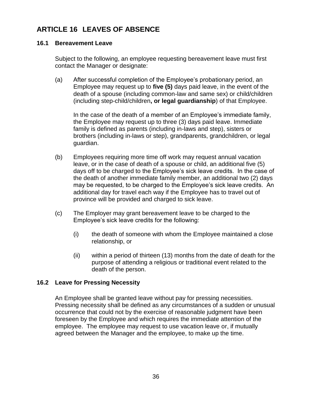## <span id="page-45-0"></span>**ARTICLE 16 LEAVES OF ABSENCE**

#### <span id="page-45-1"></span>**16.1 Bereavement Leave**

Subject to the following, an employee requesting bereavement leave must first contact the Manager or designate:

(a) After successful completion of the Employee's probationary period, an Employee may request up to **five (5)** days paid leave, in the event of the death of a spouse (including common-law and same sex) or child/children (including step-child/children**, or legal guardianship**) of that Employee.

In the case of the death of a member of an Employee's immediate family, the Employee may request up to three (3) days paid leave. Immediate family is defined as parents (including in-laws and step), sisters or brothers (including in-laws or step), grandparents, grandchildren, or legal guardian.

- (b) Employees requiring more time off work may request annual vacation leave, or in the case of death of a spouse or child, an additional five (5) days off to be charged to the Employee's sick leave credits. In the case of the death of another immediate family member, an additional two (2) days may be requested, to be charged to the Employee's sick leave credits. An additional day for travel each way if the Employee has to travel out of province will be provided and charged to sick leave.
- (c) The Employer may grant bereavement leave to be charged to the Employee's sick leave credits for the following:
	- (i) the death of someone with whom the Employee maintained a close relationship, or
	- (ii) within a period of thirteen (13) months from the date of death for the purpose of attending a religious or traditional event related to the death of the person.

#### <span id="page-45-2"></span>**16.2 Leave for Pressing Necessity**

An Employee shall be granted leave without pay for pressing necessities. Pressing necessity shall be defined as any circumstances of a sudden or unusual occurrence that could not by the exercise of reasonable judgment have been foreseen by the Employee and which requires the immediate attention of the employee. The employee may request to use vacation leave or, if mutually agreed between the Manager and the employee, to make up the time.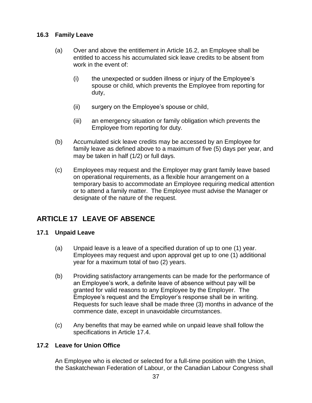#### <span id="page-46-0"></span>**16.3 Family Leave**

- (a) Over and above the entitlement in Article 16.2, an Employee shall be entitled to access his accumulated sick leave credits to be absent from work in the event of:
	- (i) the unexpected or sudden illness or injury of the Employee's spouse or child, which prevents the Employee from reporting for duty,
	- (ii) surgery on the Employee's spouse or child,
	- (iii) an emergency situation or family obligation which prevents the Employee from reporting for duty.
- (b) Accumulated sick leave credits may be accessed by an Employee for family leave as defined above to a maximum of five (5) days per year, and may be taken in half (1/2) or full days.
- (c) Employees may request and the Employer may grant family leave based on operational requirements, as a flexible hour arrangement on a temporary basis to accommodate an Employee requiring medical attention or to attend a family matter. The Employee must advise the Manager or designate of the nature of the request.

## <span id="page-46-1"></span>**ARTICLE 17 LEAVE OF ABSENCE**

#### <span id="page-46-2"></span>**17.1 Unpaid Leave**

- (a) Unpaid leave is a leave of a specified duration of up to one (1) year. Employees may request and upon approval get up to one (1) additional year for a maximum total of two (2) years.
- (b) Providing satisfactory arrangements can be made for the performance of an Employee's work, a definite leave of absence without pay will be granted for valid reasons to any Employee by the Employer. The Employee's request and the Employer's response shall be in writing. Requests for such leave shall be made three (3) months in advance of the commence date, except in unavoidable circumstances.
- (c) Any benefits that may be earned while on unpaid leave shall follow the specifications in Article 17.4.

#### <span id="page-46-3"></span>**17.2 Leave for Union Office**

An Employee who is elected or selected for a full-time position with the Union, the Saskatchewan Federation of Labour, or the Canadian Labour Congress shall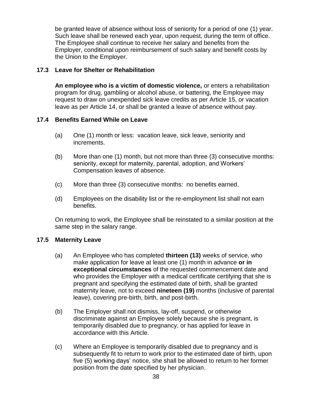be granted leave of absence without loss of seniority for a period of one (1) year. Such leave shall be renewed each year, upon request, during the term of office. The Employee shall continue to receive her salary and benefits from the Employer, conditional upon reimbursement of such salary and benefit costs by the Union to the Employer.

#### <span id="page-47-0"></span>**17.3 Leave for Shelter or Rehabilitation**

**An employee who is a victim of domestic violence,** or enters a rehabilitation program for drug, gambling or alcohol abuse, or battering, the Employee may request to draw on unexpended sick leave credits as per Article 15, or vacation leave as per Article 14, or shall be granted a leave of absence without pay.

#### <span id="page-47-1"></span>**17.4 Benefits Earned While on Leave**

- (a) One (1) month or less: vacation leave, sick leave, seniority and increments.
- (b) More than one (1) month, but not more than three (3) consecutive months: seniority, except for maternity, parental, adoption, and Workers' Compensation leaves of absence.
- (c) More than three (3) consecutive months: no benefits earned.
- (d) Employees on the disability list or the re-employment list shall not earn benefits.

On returning to work, the Employee shall be reinstated to a similar position at the same step in the salary range.

#### <span id="page-47-2"></span>**17.5 Maternity Leave**

- (a) An Employee who has completed **thirteen (13)** weeks of service, who make application for leave at least one (1) month in advance **or in exceptional circumstances** of the requested commencement date and who provides the Employer with a medical certificate certifying that she is pregnant and specifying the estimated date of birth, shall be granted maternity leave, not to exceed **nineteen (19)** months (inclusive of parental leave), covering pre-birth, birth, and post-birth.
- (b) The Employer shall not dismiss, lay-off, suspend, or otherwise discriminate against an Employee solely because she is pregnant, is temporarily disabled due to pregnancy, or has applied for leave in accordance with this Article.
- (c) Where an Employee is temporarily disabled due to pregnancy and is subsequently fit to return to work prior to the estimated date of birth, upon five (5) working days' notice, she shall be allowed to return to her former position from the date specified by her physician.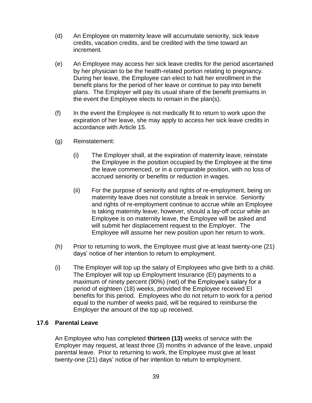- (d) An Employee on maternity leave will accumulate seniority, sick leave credits, vacation credits, and be credited with the time toward an increment.
- (e) An Employee may access her sick leave credits for the period ascertained by her physician to be the health-related portion relating to pregnancy. During her leave, the Employee can elect to halt her enrollment in the benefit plans for the period of her leave or continue to pay into benefit plans. The Employer will pay its usual share of the benefit premiums in the event the Employee elects to remain in the plan(s).
- (f) In the event the Employee is not medically fit to return to work upon the expiration of her leave, she may apply to access her sick leave credits in accordance with Article 15.
- (g) Reinstatement:
	- (i) The Employer shall, at the expiration of maternity leave, reinstate the Employee in the position occupied by the Employee at the time the leave commenced, or in a comparable position, with no loss of accrued seniority or benefits or reduction in wages.
	- (ii) For the purpose of seniority and rights of re-employment, being on maternity leave does not constitute a break in service. Seniority and rights of re-employment continue to accrue while an Employee is taking maternity leave; however, should a lay-off occur while an Employee is on maternity leave, the Employee will be asked and will submit her displacement request to the Employer. The Employee will assume her new position upon her return to work.
- (h) Prior to returning to work, the Employee must give at least twenty-one (21) days' notice of her intention to return to employment.
- (i) The Employer will top up the salary of Employees who give birth to a child. The Employer will top up Employment Insurance (EI) payments to a maximum of ninety percent (90%) (net) of the Employee's salary for a period of eighteen (18) weeks, provided the Employee received EI benefits for this period. Employees who do not return to work for a period equal to the number of weeks paid, will be required to reimburse the Employer the amount of the top up received.

#### <span id="page-48-0"></span>**17.6 Parental Leave**

An Employee who has completed **thirteen (13)** weeks of service with the Employer may request, at least three (3) months in advance of the leave, unpaid parental leave. Prior to returning to work, the Employee must give at least twenty-one (21) days' notice of her intention to return to employment.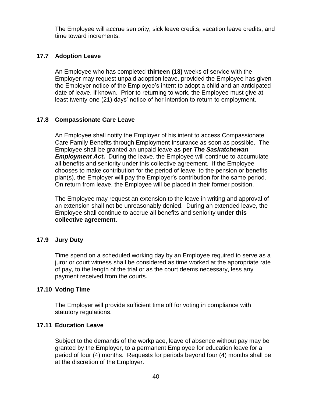The Employee will accrue seniority, sick leave credits, vacation leave credits, and time toward increments.

#### <span id="page-49-0"></span>**17.7 Adoption Leave**

An Employee who has completed **thirteen (13)** weeks of service with the Employer may request unpaid adoption leave, provided the Employee has given the Employer notice of the Employee's intent to adopt a child and an anticipated date of leave, if known. Prior to returning to work, the Employee must give at least twenty-one (21) days' notice of her intention to return to employment.

#### <span id="page-49-1"></span>**17.8 Compassionate Care Leave**

An Employee shall notify the Employer of his intent to access Compassionate Care Family Benefits through Employment Insurance as soon as possible. The Employee shall be granted an unpaid leave **as per** *The Saskatchewan Employment Act.* During the leave, the Employee will continue to accumulate all benefits and seniority under this collective agreement. If the Employee chooses to make contribution for the period of leave, to the pension or benefits plan(s), the Employer will pay the Employer's contribution for the same period. On return from leave, the Employee will be placed in their former position.

The Employee may request an extension to the leave in writing and approval of an extension shall not be unreasonably denied. During an extended leave, the Employee shall continue to accrue all benefits and seniority **under this collective agreement**.

#### <span id="page-49-2"></span>**17.9 Jury Duty**

Time spend on a scheduled working day by an Employee required to serve as a juror or court witness shall be considered as time worked at the appropriate rate of pay, to the length of the trial or as the court deems necessary, less any payment received from the courts.

#### <span id="page-49-3"></span>**17.10 Voting Time**

The Employer will provide sufficient time off for voting in compliance with statutory regulations.

#### <span id="page-49-4"></span>**17.11 Education Leave**

Subject to the demands of the workplace, leave of absence without pay may be granted by the Employer, to a permanent Employee for education leave for a period of four (4) months. Requests for periods beyond four (4) months shall be at the discretion of the Employer.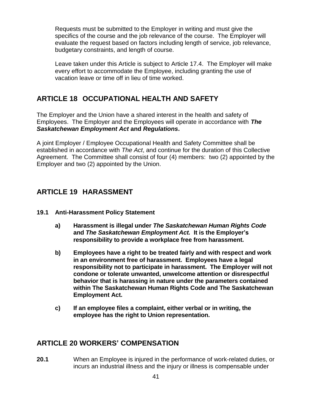Requests must be submitted to the Employer in writing and must give the specifics of the course and the job relevance of the course. The Employer will evaluate the request based on factors including length of service, job relevance, budgetary constraints, and length of course.

Leave taken under this Article is subject to Article 17.4. The Employer will make every effort to accommodate the Employee, including granting the use of vacation leave or time off in lieu of time worked.

## <span id="page-50-0"></span>**ARTICLE 18 OCCUPATIONAL HEALTH AND SAFETY**

The Employer and the Union have a shared interest in the health and safety of Employees. The Employer and the Employees will operate in accordance with *The Saskatchewan Employment Act* **and** *Regulations***.**

A joint Employer / Employee Occupational Health and Safety Committee shall be established in accordance with *The Act*, and continue for the duration of this Collective Agreement. The Committee shall consist of four (4) members: two (2) appointed by the Employer and two (2) appointed by the Union.

## <span id="page-50-1"></span>**ARTICLE 19 HARASSMENT**

- <span id="page-50-2"></span>**19.1 Anti-Harassment Policy Statement**
	- **a) Harassment is illegal under** *The Saskatchewan Human Rights Code* **and** *The Saskatchewan Employment Act.* **It is the Employer's responsibility to provide a workplace free from harassment.**
	- **b) Employees have a right to be treated fairly and with respect and work in an environment free of harassment. Employees have a legal responsibility not to participate in harassment. The Employer will not condone or tolerate unwanted, unwelcome attention or disrespectful behavior that is harassing in nature under the parameters contained within The Saskatchewan Human Rights Code and The Saskatchewan Employment Act.**
	- **c) If an employee files a complaint, either verbal or in writing, the employee has the right to Union representation.**

## <span id="page-50-3"></span>**ARTICLE 20 WORKERS' COMPENSATION**

**20.1** When an Employee is injured in the performance of work-related duties, or incurs an industrial illness and the injury or illness is compensable under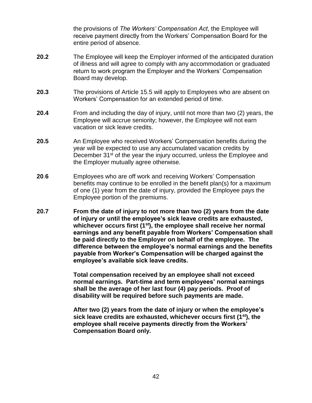the provisions of *The Workers' Compensation Act*, the Employee will receive payment directly from the Workers' Compensation Board for the entire period of absence.

- **20.2** The Employee will keep the Employer informed of the anticipated duration of illness and will agree to comply with any accommodation or graduated return to work program the Employer and the Workers' Compensation Board may develop.
- **20.3** The provisions of Article 15.5 will apply to Employees who are absent on Workers' Compensation for an extended period of time.
- **20.4** From and including the day of injury, until not more than two (2) years, the Employee will accrue seniority; however, the Employee will not earn vacation or sick leave credits.
- **20.5** An Employee who received Workers' Compensation benefits during the year will be expected to use any accumulated vacation credits by December 31<sup>st</sup> of the year the injury occurred, unless the Employee and the Employer mutually agree otherwise.
- **20**.**6** Employees who are off work and receiving Workers' Compensation benefits may continue to be enrolled in the benefit plan(s) for a maximum of one (1) year from the date of injury, provided the Employee pays the Employee portion of the premiums.
- **20.7 From the date of injury to not more than two (2) years from the date of injury or until the employee's sick leave credits are exhausted, whichever occurs first (1 st), the employee shall receive her normal earnings and any benefit payable from Workers' Compensation shall be paid directly to the Employer on behalf of the employee. The difference between the employee's normal earnings and the benefits payable from Worker's Compensation will be charged against the employee's available sick leave credits.**

**Total compensation received by an employee shall not exceed normal earnings. Part-time and term employees' normal earnings shall be the average of her last four (4) pay periods. Proof of disability will be required before such payments are made.**

**After two (2) years from the date of injury or when the employee's sick leave credits are exhausted, whichever occurs first (1 st), the employee shall receive payments directly from the Workers' Compensation Board only.**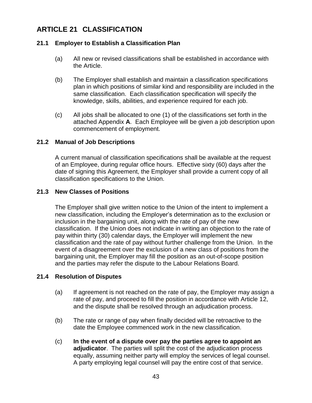## <span id="page-52-0"></span>**ARTICLE 21 CLASSIFICATION**

#### <span id="page-52-1"></span>**21.1 Employer to Establish a Classification Plan**

- (a) All new or revised classifications shall be established in accordance with the Article.
- (b) The Employer shall establish and maintain a classification specifications plan in which positions of similar kind and responsibility are included in the same classification. Each classification specification will specify the knowledge, skills, abilities, and experience required for each job.
- (c) All jobs shall be allocated to one (1) of the classifications set forth in the attached Appendix **A**. Each Employee will be given a job description upon commencement of employment.

#### <span id="page-52-2"></span>**21.2 Manual of Job Descriptions**

A current manual of classification specifications shall be available at the request of an Employee, during regular office hours. Effective sixty (60) days after the date of signing this Agreement, the Employer shall provide a current copy of all classification specifications to the Union.

#### <span id="page-52-3"></span>**21.3 New Classes of Positions**

The Employer shall give written notice to the Union of the intent to implement a new classification, including the Employer's determination as to the exclusion or inclusion in the bargaining unit, along with the rate of pay of the new classification. If the Union does not indicate in writing an objection to the rate of pay within thirty (30) calendar days, the Employer will implement the new classification and the rate of pay without further challenge from the Union. In the event of a disagreement over the exclusion of a new class of positions from the bargaining unit, the Employer may fill the position as an out-of-scope position and the parties may refer the dispute to the Labour Relations Board.

#### <span id="page-52-4"></span>**21.4 Resolution of Disputes**

- (a) If agreement is not reached on the rate of pay, the Employer may assign a rate of pay, and proceed to fill the position in accordance with Article 12, and the dispute shall be resolved through an adjudication process.
- (b) The rate or range of pay when finally decided will be retroactive to the date the Employee commenced work in the new classification.
- (c) **In the event of a dispute over pay the parties agree to appoint an adjudicator**. The parties will split the cost of the adjudication process equally, assuming neither party will employ the services of legal counsel. A party employing legal counsel will pay the entire cost of that service.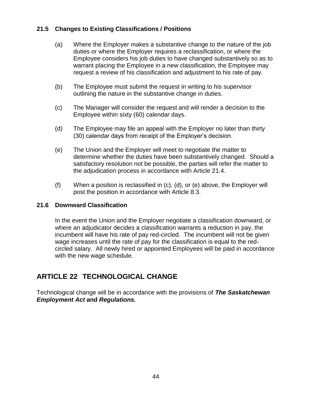#### <span id="page-53-0"></span>**21.5 Changes to Existing Classifications / Positions**

- (a) Where the Employer makes a substantive change to the nature of the job duties or where the Employer requires a reclassification, or where the Employee considers his job duties to have changed substantively so as to warrant placing the Employee in a new classification, the Employee may request a review of his classification and adjustment to his rate of pay.
- (b) The Employee must submit the request in writing to his supervisor outlining the nature in the substantive change in duties.
- (c) The Manager will consider the request and will render a decision to the Employee within sixty (60) calendar days.
- (d) The Employee may file an appeal with the Employer no later than thirty (30) calendar days from receipt of the Employer's decision.
- (e) The Union and the Employer will meet to negotiate the matter to determine whether the duties have been substantively changed. Should a satisfactory resolution not be possible, the parties will refer the matter to the adjudication process in accordance with Article 21.4.
- (f) When a position is reclassified in (c), (d), or (e) above, the Employer will post the position in accordance with Article 8.3.

#### <span id="page-53-1"></span>**21.6 Downward Classification**

In the event the Union and the Employer negotiate a classification downward, or where an adjudicator decides a classification warrants a reduction in pay, the incumbent will have his rate of pay red-circled. The incumbent will not be given wage increases until the rate of pay for the classification is equal to the redcircled salary. All newly hired or appointed Employees will be paid in accordance with the new wage schedule.

## <span id="page-53-2"></span>**ARTICLE 22 TECHNOLOGICAL CHANGE**

Technological change will be in accordance with the provisions of *The Saskatchewan Employment Act* **and** *Regulations.*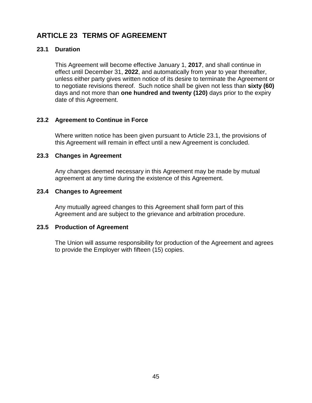## <span id="page-54-0"></span>**ARTICLE 23 TERMS OF AGREEMENT**

#### <span id="page-54-1"></span>**23.1 Duration**

This Agreement will become effective January 1, **2017**, and shall continue in effect until December 31, **2022**, and automatically from year to year thereafter, unless either party gives written notice of its desire to terminate the Agreement or to negotiate revisions thereof. Such notice shall be given not less than **sixty (60)** days and not more than **one hundred and twenty (120)** days prior to the expiry date of this Agreement.

#### <span id="page-54-2"></span>**23.2 Agreement to Continue in Force**

Where written notice has been given pursuant to Article 23.1, the provisions of this Agreement will remain in effect until a new Agreement is concluded.

#### <span id="page-54-3"></span>**23.3 Changes in Agreement**

Any changes deemed necessary in this Agreement may be made by mutual agreement at any time during the existence of this Agreement.

#### <span id="page-54-4"></span>**23.4 Changes to Agreement**

Any mutually agreed changes to this Agreement shall form part of this Agreement and are subject to the grievance and arbitration procedure.

#### <span id="page-54-5"></span>**23.5 Production of Agreement**

The Union will assume responsibility for production of the Agreement and agrees to provide the Employer with fifteen (15) copies.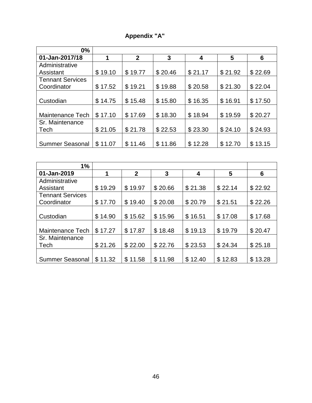|  | <b>Appendix "A"</b> |  |
|--|---------------------|--|
|  |                     |  |

| $0\%$                                  |         |              |             |             |         |         |
|----------------------------------------|---------|--------------|-------------|-------------|---------|---------|
| 01-Jan-2017/18                         |         | $\mathbf{2}$ | 3           | 4           | 5       | 6       |
| Administrative                         |         |              |             |             |         |         |
| Assistant                              | \$19.10 | \$19.77      | \$20.46     | \$21.17     | \$21.92 | \$22.69 |
| <b>Tennant Services</b><br>Coordinator | \$17.52 | \$19.21      | \$19.88     | \$20.58     | \$21.30 | \$22.04 |
| Custodian                              | \$14.75 | \$15.48      | \$15.80     | \$<br>16.35 | \$16.91 | \$17.50 |
| Maintenance Tech                       | \$17.10 | \$17.69      | \$18.30     | \$18.94     | \$19.59 | \$20.27 |
| Sr. Maintenance<br>Tech                | \$21.05 | \$21.78      | \$22.53     | \$23.30     | \$24.10 | \$24.93 |
| <b>Summer Seasonal</b>                 | \$11.07 | \$11.46      | 11.86<br>\$ | \$12.28     | \$12.70 | \$13.15 |

| 1%                      |                       |                |         |         |         |         |
|-------------------------|-----------------------|----------------|---------|---------|---------|---------|
| 01-Jan-2019             |                       | $\overline{2}$ | 3       | 4       | 5       | 6       |
| Administrative          |                       |                |         |         |         |         |
| Assistant               | \$19.29               | \$19.97        | \$20.66 | \$21.38 | \$22.14 | \$22.92 |
| <b>Tennant Services</b> |                       |                |         |         |         |         |
| Coordinator             | \$17.70               | \$19.40        | \$20.08 | \$20.79 | \$21.51 | \$22.26 |
|                         |                       |                |         |         |         |         |
| Custodian               | \$14.90               | \$15.62        | \$15.96 | \$16.51 | \$17.08 | \$17.68 |
|                         |                       |                |         |         |         |         |
| Maintenance Tech        | \$17.27               | \$17.87        | \$18.48 | \$19.13 | \$19.79 | \$20.47 |
| Sr. Maintenance         |                       |                |         |         |         |         |
| Tech                    | \$21.26               | \$22.00        | \$22.76 | \$23.53 | \$24.34 | \$25.18 |
|                         |                       |                |         |         |         |         |
| <b>Summer Seasonal</b>  | 11.32<br>$\mathbb{S}$ | \$11.58        | \$11.98 | \$12.40 | \$12.83 | \$13.28 |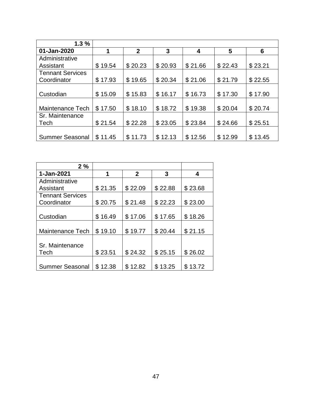| 1.3%                    |         |                |         |              |         |         |
|-------------------------|---------|----------------|---------|--------------|---------|---------|
| 01-Jan-2020             | 1       | $\overline{2}$ | 3       | 4            | 5       | 6       |
| Administrative          |         |                |         |              |         |         |
| Assistant               | \$19.54 | \$20.23        | \$20.93 | \$21.66      | \$22.43 | \$23.21 |
| <b>Tennant Services</b> |         |                |         |              |         |         |
| Coordinator             | \$17.93 | \$19.65        | \$20.34 | \$21.06      | \$21.79 | \$22.55 |
|                         |         |                |         |              |         |         |
| Custodian               | \$15.09 | \$15.83        | \$16.17 | 16.73<br>\$  | \$17.30 | \$17.90 |
|                         |         |                |         |              |         |         |
| Maintenance Tech        | \$17.50 | \$18.10        | \$18.72 | \$19.38      | \$20.04 | \$20.74 |
| Sr. Maintenance         |         |                |         |              |         |         |
| Tech                    | \$21.54 | \$22.28        | \$23.05 | \$23.84      | \$24.66 | \$25.51 |
|                         |         |                |         |              |         |         |
| <b>Summer Seasonal</b>  | \$11.45 | \$11.73        | \$12.13 | \$.<br>12.56 | \$12.99 | \$13.45 |

| 2%                      |             |             |         |         |
|-------------------------|-------------|-------------|---------|---------|
| 1-Jan-2021              | 1           | $\mathbf 2$ | 3       | 4       |
| Administrative          |             |             |         |         |
| Assistant               | \$21.35     | \$22.09     | \$22.88 | \$23.68 |
| <b>Tennant Services</b> |             |             |         |         |
| Coordinator             | \$20.75     | \$21.48     | \$22.23 | \$23.00 |
|                         |             |             |         |         |
| Custodian               | \$16.49     | \$17.06     | \$17.65 | \$18.26 |
|                         |             |             |         |         |
| <b>Maintenance Tech</b> | \$19.10     | \$19.77     | \$20.44 | \$21.15 |
|                         |             |             |         |         |
| Sr. Maintenance         |             |             |         |         |
| Tech                    | \$23.51     | \$24.32     | \$25.15 | \$26.02 |
|                         |             |             |         |         |
| <b>Summer Seasonal</b>  | \$<br>12.38 | \$12.82     | \$13.25 | \$13.72 |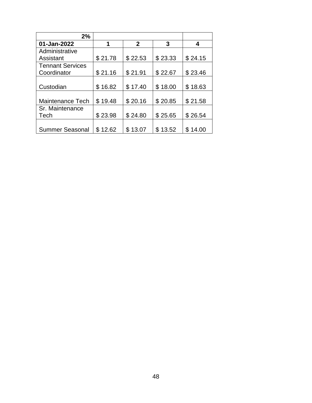| 2%                      |              |                |         |              |
|-------------------------|--------------|----------------|---------|--------------|
| 01-Jan-2022             | 1            | $\overline{2}$ | 3       | 4            |
| Administrative          |              |                |         |              |
| Assistant               | \$21.78      | \$22.53        | \$23.33 | \$24.15      |
| <b>Tennant Services</b> |              |                |         |              |
| Coordinator             | \$21.16      | \$21.91        | \$22.67 | \$23.46      |
|                         |              |                |         |              |
| Custodian               | \$16.82      | \$17.40        | \$18.00 | \$18.63      |
|                         |              |                |         |              |
| <b>Maintenance Tech</b> | \$19.48      | \$20.16        | \$20.85 | \$21.58      |
| Sr. Maintenance         |              |                |         |              |
| Tech                    | \$23.98      | \$24.80        | \$25.65 | \$26.54      |
|                         |              |                |         |              |
| <b>Summer Seasonal</b>  | 12.62<br>\$. | \$13.07        | \$13.52 | \$.<br>14.00 |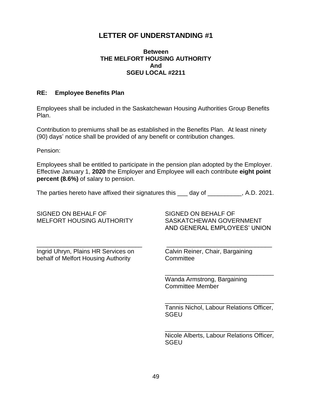## <span id="page-58-0"></span>**LETTER OF UNDERSTANDING #1**

#### **Between THE MELFORT HOUSING AUTHORITY And SGEU LOCAL #2211**

#### <span id="page-58-1"></span>**RE: Employee Benefits Plan**

Employees shall be included in the Saskatchewan Housing Authorities Group Benefits Plan.

Contribution to premiums shall be as established in the Benefits Plan. At least ninety (90) days' notice shall be provided of any benefit or contribution changes.

Pension:

Employees shall be entitled to participate in the pension plan adopted by the Employer. Effective January 1, **2020** the Employer and Employee will each contribute **eight point percent (8.6%)** of salary to pension.

The parties hereto have affixed their signatures this \_\_\_ day of \_\_\_\_\_\_\_\_\_, A.D. 2021.

SIGNED ON BEHALF OF SIGNED ON BEHALF OF MELFORT HOUSING AUTHORITY SASKATCHEWAN GOVERNMENT

\_\_\_\_\_\_\_\_\_\_\_\_\_\_\_\_\_\_\_\_\_\_\_\_\_\_\_\_\_\_\_ \_\_\_\_\_\_\_\_\_\_\_\_\_\_\_\_\_\_\_\_\_\_\_\_\_\_\_\_\_\_\_ Ingrid Uhryn, Plains HR Services on Calvin Reiner, Chair, Bargaining behalf of Melfort Housing Authority Committee

AND GENERAL EMPLOYEES' UNION

Wanda Armstrong, Bargaining Committee Member

Tannis Nichol, Labour Relations Officer, **SGEU** 

\_\_\_\_\_\_\_\_\_\_\_\_\_\_\_\_\_\_\_\_\_\_\_\_\_\_\_\_\_\_\_\_

\_\_\_\_\_\_\_\_\_\_\_\_\_\_\_\_\_\_\_\_\_\_\_\_\_\_\_\_\_\_\_\_

Nicole Alberts, Labour Relations Officer, **SGEU** 

\_\_\_\_\_\_\_\_\_\_\_\_\_\_\_\_\_\_\_\_\_\_\_\_\_\_\_\_\_\_\_\_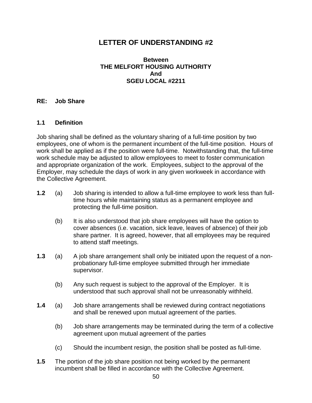## <span id="page-59-0"></span>**LETTER OF UNDERSTANDING #2**

#### **Between THE MELFORT HOUSING AUTHORITY And SGEU LOCAL #2211**

#### <span id="page-59-1"></span>**RE: Job Share**

#### **1.1 Definition**

Job sharing shall be defined as the voluntary sharing of a full-time position by two employees, one of whom is the permanent incumbent of the full-time position. Hours of work shall be applied as if the position were full-time. Notwithstanding that, the full-time work schedule may be adjusted to allow employees to meet to foster communication and appropriate organization of the work. Employees, subject to the approval of the Employer, may schedule the days of work in any given workweek in accordance with the Collective Agreement.

- **1.2** (a) Job sharing is intended to allow a full-time employee to work less than fulltime hours while maintaining status as a permanent employee and protecting the full-time position.
	- (b) It is also understood that job share employees will have the option to cover absences (i.e. vacation, sick leave, leaves of absence) of their job share partner. It is agreed, however, that all employees may be required to attend staff meetings.
- **1.3** (a) A job share arrangement shall only be initiated upon the request of a nonprobationary full-time employee submitted through her immediate supervisor.
	- (b) Any such request is subject to the approval of the Employer. It is understood that such approval shall not be unreasonably withheld.
- **1.4** (a) Job share arrangements shall be reviewed during contract negotiations and shall be renewed upon mutual agreement of the parties.
	- (b) Job share arrangements may be terminated during the term of a collective agreement upon mutual agreement of the parties
	- (c) Should the incumbent resign, the position shall be posted as full-time.
- **1.5** The portion of the job share position not being worked by the permanent incumbent shall be filled in accordance with the Collective Agreement.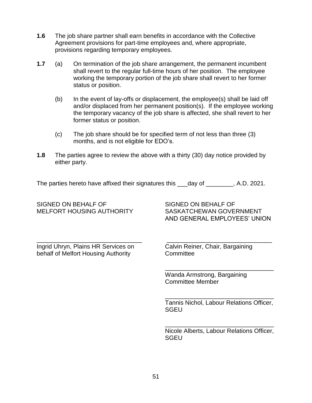- **1.6** The job share partner shall earn benefits in accordance with the Collective Agreement provisions for part-time employees and, where appropriate, provisions regarding temporary employees.
- **1.7** (a) On termination of the job share arrangement, the permanent incumbent shall revert to the regular full-time hours of her position. The employee working the temporary portion of the job share shall revert to her former status or position.
	- (b) In the event of lay-offs or displacement, the employee(s) shall be laid off and/or displaced from her permanent position(s). If the employee working the temporary vacancy of the job share is affected, she shall revert to her former status or position.
	- (c) The job share should be for specified term of not less than three (3) months, and is not eligible for EDO's.
- **1.8** The parties agree to review the above with a thirty (30) day notice provided by either party.

The parties hereto have affixed their signatures this day of The parties hereto have affixed their signatures this day of

\_\_\_\_\_\_\_\_\_\_\_\_\_\_\_\_\_\_\_\_\_\_\_\_\_\_\_\_\_\_\_ \_\_\_\_\_\_\_\_\_\_\_\_\_\_\_\_\_\_\_\_\_\_\_\_\_\_\_\_\_\_\_

#### SIGNED ON BEHALF OF SIGNED ON BEHALF OF MELFORT HOUSING AUTHORITY SASKATCHEWAN GOVERNMENT

AND GENERAL EMPLOYEES' UNION

Ingrid Uhryn, Plains HR Services on Calvin Reiner, Chair, Bargaining behalf of Melfort Housing Authority Committee

Wanda Armstrong, Bargaining Committee Member

Tannis Nichol, Labour Relations Officer, **SGEU** 

\_\_\_\_\_\_\_\_\_\_\_\_\_\_\_\_\_\_\_\_\_\_\_\_\_\_\_\_\_\_\_\_

\_\_\_\_\_\_\_\_\_\_\_\_\_\_\_\_\_\_\_\_\_\_\_\_\_\_\_\_\_\_\_\_

\_\_\_\_\_\_\_\_\_\_\_\_\_\_\_\_\_\_\_\_\_\_\_\_\_\_\_\_\_\_\_\_ Nicole Alberts, Labour Relations Officer, **SGEU**